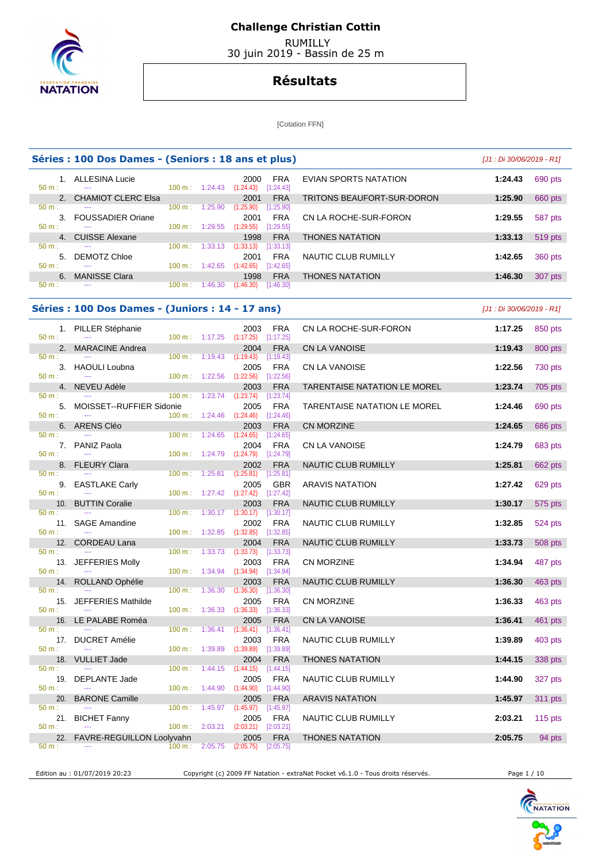

 RUMILLY 30 juin 2019 - Bassin de 25 m

## **Résultats**

[Cotation FFN]

|              | Séries : 100 Dos Dames - (Seniors : 18 ans et plus) |                           | [J1 : Di 30/06/2019 - R1] |                                              |                            |         |                |
|--------------|-----------------------------------------------------|---------------------------|---------------------------|----------------------------------------------|----------------------------|---------|----------------|
| $50 m$ :     | ALLESINA Lucie<br>$- - -$                           |                           | $100 \text{ m}: 1:24.43$  | <b>FRA</b><br>2000<br>[1:24.43]<br>(1:24.43) | EVIAN SPORTS NATATION      | 1:24.43 | 690 pts        |
|              | 2. CHAMIOT CLERC Elsa                               |                           |                           | <b>FRA</b><br>2001                           | TRITONS BEAUFORT-SUR-DORON | 1:25.90 | 660 pts        |
| $50 m$ :     | $- - -$                                             | $100 \text{ m}$ :         | 1:25.90                   | (1:25.90)<br>[1:25.90]                       |                            |         |                |
| $\mathbf{3}$ | <b>FOUSSADIER Oriane</b>                            |                           |                           | <b>FRA</b><br>2001                           | CN LA ROCHE-SUR-FORON      | 1:29.55 | 587 pts        |
| $50 m$ :     | ---                                                 | $100 \text{ m}$ :         | 1:29.55                   | (1:29.55)<br>[1:29.55]                       |                            |         |                |
|              | 4. CUISSE Alexane                                   |                           |                           | <b>FRA</b><br>1998                           | <b>THONES NATATION</b>     | 1:33.13 | 519 pts        |
| $50 m$ :     | $- - -$                                             | 100 m:                    | 1:33.13                   | (1:33.13)<br>[1:33.13]                       |                            |         |                |
| 5.           | DEMOTZ Chloe                                        |                           |                           | <b>FRA</b><br>2001                           | NAUTIC CLUB RUMILLY        | 1:42.65 | <b>360 pts</b> |
| $50 m$ :     | ---                                                 | $100 \text{ m}$ : 1:42.65 |                           | (1:42.65)<br>[1:42.65]                       |                            |         |                |
| $6^{\circ}$  | <b>MANISSE Clara</b>                                |                           |                           | <b>FRA</b><br>1998                           | <b>THONES NATATION</b>     | 1:46.30 | 307 pts        |
| $50 m$ :     | $- - -$                                             | $100 \text{ m}$ :         | 1:46.30                   | (1:46.30)<br>[1:46.30]                       |                            |         |                |
|              |                                                     |                           |                           |                                              |                            |         |                |

## **Séries : 100 Dos Dames - (Juniors : 14 - 17 ans)** [J1 : Di 30/06/2019 - R1]

|          | 1. PILLER Stéphanie                      |                          |                                    | 2003                                       | <b>FRA</b>              | CN LA ROCHE-SUR-FORON               | 1:17.25 | 850 pts   |
|----------|------------------------------------------|--------------------------|------------------------------------|--------------------------------------------|-------------------------|-------------------------------------|---------|-----------|
| $50 m$ : |                                          | 100 m: 1:17.25           |                                    | (1:17.25)                                  | [1:17.25]<br><b>FRA</b> |                                     |         |           |
| 50 m:    | 2. MARACINE Andrea<br>$\sim$             | $100 \text{ m}$ :        | 1:19.43                            | 2004<br>$(1:19.43)$ [1:19.43]              |                         | <b>CN LA VANOISE</b>                | 1:19.43 | 800 pts   |
|          | 3. HAOULI Loubna                         |                          |                                    | 2005                                       | <b>FRA</b>              | CN LA VANOISE                       | 1:22.56 | 730 pts   |
| $50 m$ : |                                          |                          |                                    | 100 m: 1:22.56 (1:22.56) [1:22.56]         |                         |                                     |         |           |
|          | 4. NEVEU Adèle                           |                          |                                    | 2003                                       | <b>FRA</b>              | <b>TARENTAISE NATATION LE MOREL</b> | 1:23.74 | 705 pts   |
| 50 m:    | $- - -$                                  | $100 \text{ m}: 1:23.74$ |                                    | (1:23.74)                                  | [1:23.74]               |                                     |         |           |
|          | 5. MOISSET--RUFFIER Sidonie              |                          |                                    | 2005                                       | <b>FRA</b>              | <b>TARENTAISE NATATION LE MOREL</b> | 1:24.46 | 690 pts   |
| 50 m:    | $\sim$ $\sim$                            | $100 \text{ m}$ :        | 1:24.46                            | $(1:24.46)$ $[1:24.46]$<br>2003            |                         |                                     | 1:24.65 |           |
| $50 m$ : | 6. ARENS Cléo                            | 100 m:                   | 1:24.65                            | $(1:24.65)$ [1:24.65]                      | <b>FRA</b>              | <b>CN MORZINE</b>                   |         | 686 pts   |
|          | 7. PANIZ Paola                           |                          |                                    | 2004                                       | <b>FRA</b>              | CN LA VANOISE                       | 1:24.79 | 683 pts   |
| $50 m$ : | $\overline{a}$                           | 100 m: 1:24.79           |                                    | $(1:24.79)$ $[1:24.79]$                    |                         |                                     |         |           |
|          | 8. FLEURY Clara                          |                          |                                    | 2002                                       | <b>FRA</b>              | NAUTIC CLUB RUMILLY                 | 1:25.81 | 662 pts   |
| 50 m:    |                                          | $100 m$ :                | 1:25.81                            | $(1:25.81)$ $[1:25.81]$                    |                         |                                     |         |           |
|          | 9. EASTLAKE Carly                        |                          |                                    | 2005                                       | <b>GBR</b>              | <b>ARAVIS NATATION</b>              | 1:27.42 | 629 pts   |
| $50 m$ : |                                          |                          |                                    | 100 m: 1:27.42 (1:27.42) [1:27.42]         |                         |                                     |         |           |
| $50 m$ : | 10. BUTTIN Coralie                       |                          |                                    | 2003<br>100 m: 1:30.17 (1:30.17) [1:30.17] | <b>FRA</b>              | NAUTIC CLUB RUMILLY                 | 1:30.17 | 575 pts   |
|          | 11. SAGE Amandine                        |                          |                                    | 2002                                       | <b>FRA</b>              | NAUTIC CLUB RUMILLY                 | 1:32.85 | 524 pts   |
| $50 m$ : | $\sim$                                   | $100 \text{ m}: 1:32.85$ |                                    | $(1:32.85)$ $[1:32.85]$                    |                         |                                     |         |           |
|          | 12. CORDEAU Lana                         |                          |                                    | 2004                                       | <b>FRA</b>              | NAUTIC CLUB RUMILLY                 | 1:33.73 | 508 pts   |
| $50 m$ : |                                          | $100 \text{ m}$ :        | 1:33.73                            | (1:33.73)                                  | [1:33.73]               |                                     |         |           |
|          | 13. JEFFERIES Molly                      |                          |                                    | 2003                                       | <b>FRA</b>              | <b>CN MORZINE</b>                   | 1:34.94 | 487 pts   |
| $50 m$ : |                                          |                          | 100 m: 1:34.94 (1:34.94)           |                                            | [1:34.94]               |                                     |         |           |
|          | 14. ROLLAND Ophélie                      |                          |                                    | 2003                                       | <b>FRA</b>              | NAUTIC CLUB RUMILLY                 | 1:36.30 | 463 pts   |
| $50 m$ : |                                          | $100 \text{ m}$ :        | 1:36.30                            | (1:36.30)                                  | [1:36.30]               |                                     |         |           |
| $50 m$ : | 15. JEFFERIES Mathilde<br>$\overline{a}$ | $100 m$ :                | 1:36.33                            | 2005<br>(1:36.33)                          | FRA<br>[1:36.33]        | <b>CN MORZINE</b>                   | 1:36.33 | 463 pts   |
|          | 16. LE PALABE Roméa                      |                          |                                    | 2005                                       | <b>FRA</b>              | CN LA VANOISE                       | 1:36.41 | 461 pts   |
| $50 m$ : |                                          | $100 \text{ m}$ :        | 1:36.41                            | $(1:36.41)$ [1:36.41]                      |                         |                                     |         |           |
|          | 17. DUCRET Amélie                        |                          |                                    | 2003                                       | <b>FRA</b>              | NAUTIC CLUB RUMILLY                 | 1:39.89 | 403 pts   |
| $50 m$ : | $\sim$                                   | $100 \text{ m}$ :        | 1:39.89                            | $(1:39.89)$ $[1:39.89]$                    |                         |                                     |         |           |
|          | 18. VULLIET Jade                         |                          |                                    | 2004                                       | <b>FRA</b>              | <b>THONES NATATION</b>              | 1:44.15 | 338 pts   |
| 50 m:    |                                          | $100 m$ :                | 1:44.15                            | (1:44.15)                                  | [1:44.15]               |                                     |         |           |
| 50 m:    | 19. DEPLANTE Jade                        |                          | $100 \text{ m}: 1:44.90 (1:44.90)$ | 2005                                       | <b>FRA</b>              | NAUTIC CLUB RUMILLY                 | 1:44.90 | 327 pts   |
|          | 20. BARONE Camille                       |                          |                                    | 2005                                       | [1:44.90]<br><b>FRA</b> | <b>ARAVIS NATATION</b>              | 1:45.97 |           |
| $50 m$ : |                                          | $100 \text{ m}$ :        | 1:45.97                            | $(1:45.97)$ [1:45.97]                      |                         |                                     |         | 311 pts   |
|          | 21. BICHET Fanny                         |                          |                                    | 2005                                       | <b>FRA</b>              | NAUTIC CLUB RUMILLY                 | 2:03.21 | 115 $pts$ |
| $50 m$ : | $\mathbb{Z} \to \mathbb{Z}$              | $100 m$ :                | 2:03.21                            | (2:03.21)                                  | [2:03.21]               |                                     |         |           |
|          | 22. FAVRE-REGUILLON Loolyvahn            |                          |                                    | 2005                                       | <b>FRA</b>              | <b>THONES NATATION</b>              | 2:05.75 | 94 pts    |
| 50 m:    | $\sim$                                   |                          |                                    | 100 m: 2:05.75 (2:05.75) [2:05.75]         |                         |                                     |         |           |
|          |                                          |                          |                                    |                                            |                         |                                     |         |           |

Edition au : 01/07/2019 20:23 Copyright (c) 2009 FF Natation - extraNat Pocket v6.1.0 - Tous droits réservés. Page 1 / 10

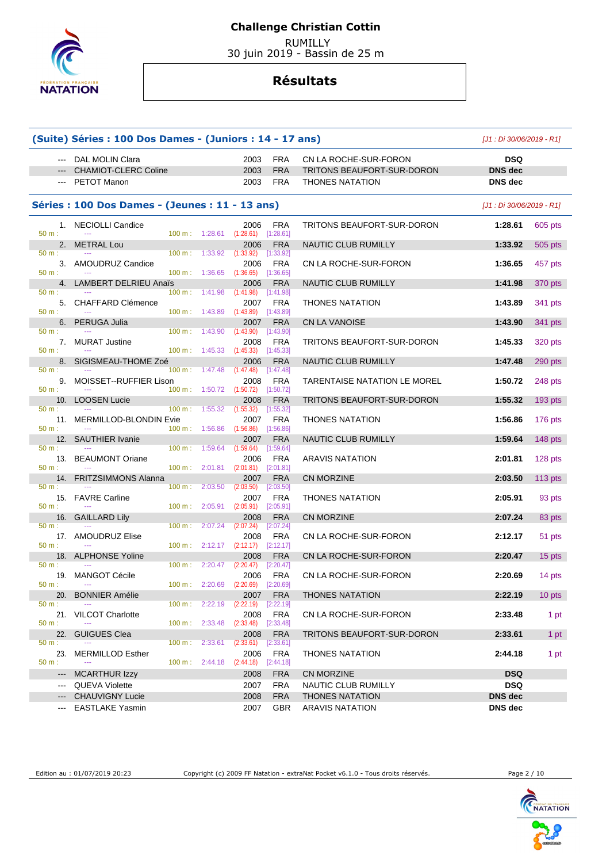

 RUMILLY 30 juin 2019 - Bassin de 25 m

# **Résultats**

|                     | (Suite) Séries : 100 Dos Dames - (Juniors : 14 - 17 ans) |                              |                                 |                         |                                     | [J1 : Di 30/06/2019 - R1] |           |  |
|---------------------|----------------------------------------------------------|------------------------------|---------------------------------|-------------------------|-------------------------------------|---------------------------|-----------|--|
|                     | --- DAL MOLIN Clara                                      |                              | 2003                            | <b>FRA</b>              | CN LA ROCHE-SUR-FORON               | <b>DSQ</b>                |           |  |
|                     | <b>CHAMIOT-CLERC Coline</b>                              |                              | 2003                            | <b>FRA</b>              | TRITONS BEAUFORT-SUR-DORON          | <b>DNS</b> dec            |           |  |
|                     | PETOT Manon                                              |                              | 2003                            | <b>FRA</b>              | <b>THONES NATATION</b>              | <b>DNS</b> dec            |           |  |
|                     |                                                          |                              |                                 |                         |                                     |                           |           |  |
|                     | Séries : 100 Dos Dames - (Jeunes : 11 - 13 ans)          |                              |                                 |                         |                                     | [J1 : Di 30/06/2019 - R1] |           |  |
| $50 m$ :            | 1. NECIOLLI Candice<br>$\sim$ $\sim$                     | 1:28.61<br>100 m:            | 2006<br>$(1:28.61)$ $[1:28.61]$ | <b>FRA</b>              | TRITONS BEAUFORT-SUR-DORON          | 1:28.61                   | 605 pts   |  |
|                     | 2. METRAL Lou                                            |                              | 2006                            | <b>FRA</b>              | NAUTIC CLUB RUMILLY                 | 1:33.92                   | 505 pts   |  |
| 50 m:               |                                                          | 100 m:<br>1:33.92            | (1:33.92)                       | [1:33.92]               |                                     |                           |           |  |
| 50 m:               | 3. AMOUDRUZ Candice                                      | 100 m: 1:36.65               | 2006<br>(1:36.65)               | <b>FRA</b><br>[1:36.65] | CN LA ROCHE-SUR-FORON               | 1:36.65                   | 457 pts   |  |
|                     | 4. LAMBERT DELRIEU Anaïs                                 |                              | 2006                            | <b>FRA</b>              | NAUTIC CLUB RUMILLY                 | 1:41.98                   | 370 pts   |  |
| 50 m:               |                                                          | 100 m:<br>1:41.98            | (1:41.98)                       | [1:41.98]               |                                     |                           |           |  |
|                     | 5. CHAFFARD Clémence                                     |                              | 2007                            | <b>FRA</b>              | <b>THONES NATATION</b>              | 1:43.89                   | 341 pts   |  |
| 50 m:               | 100 m:                                                   | 1:43.89                      | (1:43.89)                       | [1:43.89]               |                                     |                           |           |  |
| 50 m:               | 6. PERUGA Julia<br>100 m:                                | 1:43.90                      | 2007<br>(1:43.90)               | <b>FRA</b><br>[1:43.90] | CN LA VANOISE                       | 1:43.90                   | 341 pts   |  |
|                     | 7. MURAT Justine                                         |                              | 2008                            | <b>FRA</b>              | TRITONS BEAUFORT-SUR-DORON          | 1:45.33                   | 320 pts   |  |
| 50 m:               | 100 m:                                                   | 1:45.33                      | (1:45.33)                       | [1:45.33]               |                                     |                           |           |  |
| 8.                  | SIGISMEAU-THOME Zoé                                      |                              | 2006                            | <b>FRA</b>              | NAUTIC CLUB RUMILLY                 | 1:47.48                   | 290 pts   |  |
| $50 m$ :            |                                                          | $100 m$ :<br>1:47.48         | (1:47.48)                       | [1:47.48]               |                                     |                           |           |  |
| 50 m:               | 9. MOISSET--RUFFIER Lison                                | 100 m: 1:50.72               | 2008<br>(1:50.72)               | <b>FRA</b><br>[1:50.72] | <b>TARENTAISE NATATION LE MOREL</b> | 1:50.72                   | 248 pts   |  |
| 10.                 | <b>LOOSEN Lucie</b>                                      |                              | 2008                            | <b>FRA</b>              | TRITONS BEAUFORT-SUR-DORON          | 1:55.32                   | $193$ pts |  |
| 50 m:               |                                                          | 100 m:<br>1:55.32            | (1:55.32)                       | [1:55.32]               |                                     |                           |           |  |
|                     | 11. MERMILLOD-BLONDIN Evie                               |                              | 2007                            | <b>FRA</b>              | <b>THONES NATATION</b>              | 1:56.86                   | 176 pts   |  |
| 50 m:               | 100 m:                                                   | 1:56.86                      | (1:56.86)                       | [1:56.86]               |                                     |                           |           |  |
| 50 m:               | 12. SAUTHIER Ivanie<br>100 m:<br>$\sim$                  |                              | 2007                            | <b>FRA</b>              | NAUTIC CLUB RUMILLY                 | 1:59.64                   | 148 pts   |  |
| 13.                 | <b>BEAUMONT Oriane</b>                                   | 1:59.64                      | (1:59.64)<br>2006               | [1:59.64]<br><b>FRA</b> | <b>ARAVIS NATATION</b>              | 2:01.81                   | 128 pts   |  |
| 50 m:               |                                                          | 100 m: 2:01.81               | (2:01.81)                       | $[2:01.81]$             |                                     |                           |           |  |
| 14.                 | <b>FRITZSIMMONS Alanna</b>                               |                              | 2007                            | <b>FRA</b>              | <b>CN MORZINE</b>                   | 2:03.50                   | 113 $pts$ |  |
| 50 m:               |                                                          | 2:03.50<br>$100 \text{ m}$ : | (2:03.50)                       | [2:03.50]               |                                     |                           |           |  |
|                     | 15. FAVRE Carline                                        |                              | 2007                            | <b>FRA</b>              | <b>THONES NATATION</b>              | 2:05.91                   | 93 pts    |  |
| 50 m:               | 16. GAILLARD Lily                                        | 100 m:<br>2:05.91            | (2:05.91)<br>2008               | [2:05.91]<br><b>FRA</b> | <b>CN MORZINE</b>                   | 2:07.24                   | 83 pts    |  |
| 50 m:               |                                                          | $100 \text{ m}$ :<br>2:07.24 | (2:07.24)                       | [2:07.24]               |                                     |                           |           |  |
|                     | 17. AMOUDRUZ Elise                                       |                              | 2008                            | <b>FRA</b>              | CN LA ROCHE-SUR-FORON               | 2:12.17                   | 51 pts    |  |
| 50 m:               |                                                          | 100 m:<br>2:12.17            | (2:12.17)                       | [2:12.17]               |                                     |                           |           |  |
|                     | 18. ALPHONSE Yoline                                      |                              | 2008                            | <b>FRA</b>              | CN LA ROCHE-SUR-FORON               | 2:20.47                   | 15 pts    |  |
| $50 m$ :            |                                                          | 2:20.47<br>$100 \text{ m}$ : | (2:20.47)                       | [2:20.47]               |                                     |                           |           |  |
| $50 m$ :            | 19. MANGOT Cécile<br>$\sim$ $\sim$                       | $100 \text{ m}: 2:20.69$     | 2006<br>(2:20.69)               | <b>FRA</b><br>[2:20.69] | CN LA ROCHE-SUR-FORON               | 2:20.69                   | 14 pts    |  |
|                     | 20. BONNIER Amélie                                       |                              | 2007                            | <b>FRA</b>              | <b>THONES NATATION</b>              | 2:22.19                   | 10 pts    |  |
| 50 m:               |                                                          | $100 \text{ m}$ :<br>2:22.19 | (2:22.19)                       | [2:22.19]               |                                     |                           |           |  |
|                     | 21. VILCOT Charlotte                                     |                              | 2008                            | <b>FRA</b>              | CN LA ROCHE-SUR-FORON               | 2:33.48                   | 1 pt      |  |
| 50 m:               |                                                          | 100 m: 2:33.48               | $(2:33.48)$ $[2:33.48]$         |                         |                                     |                           |           |  |
| 22.<br>50 m:        | <b>GUIGUES Clea</b>                                      | 100 m:<br>2:33.61            | 2008<br>(2:33.61)               | <b>FRA</b><br>[2:33.61] | TRITONS BEAUFORT-SUR-DORON          | 2:33.61                   | 1 pt      |  |
| 23.                 | <b>MERMILLOD Esther</b>                                  |                              | 2006                            | <b>FRA</b>              | <b>THONES NATATION</b>              | 2:44.18                   | 1 pt      |  |
| 50 m:               |                                                          | 100 m: 2:44.18               | (2:44.18)                       | $[2:44.18]$             |                                     |                           |           |  |
| $\qquad \qquad - -$ | <b>MCARTHUR Izzy</b>                                     |                              | 2008                            | <b>FRA</b>              | CN MORZINE                          | <b>DSQ</b>                |           |  |
| $\qquad \qquad - -$ | <b>QUEVA Violette</b>                                    |                              | 2007                            | <b>FRA</b>              | NAUTIC CLUB RUMILLY                 | <b>DSQ</b>                |           |  |
| $---$               | <b>CHAUVIGNY Lucie</b>                                   |                              | 2008                            | <b>FRA</b>              | <b>THONES NATATION</b>              | <b>DNS</b> dec            |           |  |
| $\qquad \qquad - -$ | <b>EASTLAKE Yasmin</b>                                   |                              | 2007                            | <b>GBR</b>              | <b>ARAVIS NATATION</b>              | DNS dec                   |           |  |

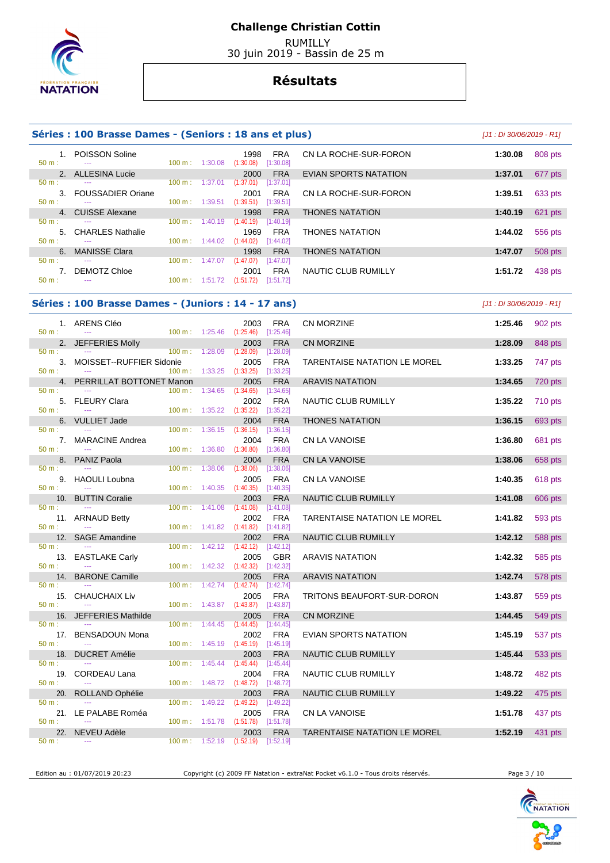

### **Challenge Christian Cottin**

 RUMILLY 30 juin 2019 - Bassin de 25 m

## **Résultats**

### **Séries : 100 Brasse Dames - (Seniors : 18 ans et plus)** [J1 : Di 30/06/2019 - R1]

|                  | 1. POISSON Soline    |                   |         | 1998<br><b>FRA</b>     |
|------------------|----------------------|-------------------|---------|------------------------|
| $50 \text{ m}$ : | ---                  | $100 \text{ m}$ : | 1:30.08 | (1:30.08)<br>[1:30.08] |
|                  | 2. ALLESINA Lucie    |                   |         | <b>FRA</b><br>2000     |
| $50 \text{ m}$ : | ---                  | 100 m:            | 1:37.01 | (1:37.01)<br>[1:37.01] |
|                  | 3. FOUSSADIER Oriane |                   |         | <b>FRA</b><br>2001     |
| $50 m$ :         | ---                  | 100 m :           | 1:39.51 | (1:39.51)<br>[1:39.51] |
|                  | 4. CUISSE Alexane    |                   |         | <b>FRA</b><br>1998     |
| $50 m$ :         | ---                  | 100 m:            | 1:40.19 | (1:40.19)<br>[1:40.19] |
|                  | 5. CHARLES Nathalie  |                   |         | <b>FRA</b><br>1969     |
| $50 \text{ m}$ : |                      | $100 \text{ m}$ : | 1:44.02 | (1:44.02)<br>[1:44.02] |
| 6.               | <b>MANISSE Clara</b> |                   |         | <b>FRA</b><br>1998     |
| 50 m:            | ---                  | 100 m:            | 1:47.07 | (1:47.07)<br>[1:47.07] |
|                  | 7. DEMOTZ Chloe      |                   |         | <b>FRA</b><br>2001     |
| 50 m:            | ---                  | 100 m :           | 1:51.72 | (1:51.72)<br>[1:51.72] |

|    | POISSON Soline<br>---    | $100 \text{ m}$ : | 1:30.08 | <b>FRA</b><br>1998<br>(1:30.08)<br>[1:30.08] | CN LA ROCHE-SUR-FORON        | 1:30.08 | 808 pts |
|----|--------------------------|-------------------|---------|----------------------------------------------|------------------------------|---------|---------|
|    | 2. ALLESINA Lucie        |                   |         | <b>FRA</b><br>2000                           | <b>EVIAN SPORTS NATATION</b> | 1:37.01 | 677 pts |
|    | ---                      | 100 m:            | 1:37.01 | (1:37.01)<br>[1:37.01]                       |                              |         |         |
| 3. | <b>FOUSSADIER Oriane</b> |                   |         | <b>FRA</b><br>2001                           | CN LA ROCHE-SUR-FORON        | 1:39.51 | 633 pts |
|    | ---                      | 100 m:            | 1:39.51 | (1:39.51)<br>[1:39.51]                       |                              |         |         |
|    | 4. CUISSE Alexane        |                   |         | <b>FRA</b><br>1998                           | <b>THONES NATATION</b>       | 1:40.19 | 621 pts |
|    | ---                      | 100 m:            | 1:40.19 | (1:40.19)<br>[1:40.19]                       |                              |         |         |
|    | 5. CHARLES Nathalie      |                   |         | <b>FRA</b><br>1969                           | <b>THONES NATATION</b>       | 1:44.02 | 556 pts |
|    | $- - -$                  | $100 \text{ m}$ : | 1:44.02 | (1:44.02)<br>[1:44.02]                       |                              |         |         |
| 6. | <b>MANISSE Clara</b>     |                   |         | <b>FRA</b><br>1998                           | <b>THONES NATATION</b>       | 1:47.07 | 508 pts |
|    | ---                      | 100 m:            | 1:47.07 | (1:47.07)<br>[1:47.07]                       |                              |         |         |
| 7. | DEMOTZ Chloe             |                   |         | <b>FRA</b><br>2001                           | NAUTIC CLUB RUMILLY          | 1:51.72 | 438 pts |
|    |                          |                   |         |                                              |                              |         |         |

### **Séries : 100 Brasse Dames - (Juniors : 14 - 17 ans)** [J1 : Di 30/06/2019 - R1]

| $50 m$ :             | 1. ARENS Cléo                                  |                             |                    | 2003<br>100 m: 1:25.46 (1:25.46) [1:25.46]               | <b>FRA</b>                           | CN MORZINE                   | 1:25.46 | 902 pts |
|----------------------|------------------------------------------------|-----------------------------|--------------------|----------------------------------------------------------|--------------------------------------|------------------------------|---------|---------|
| 50 m:                | 2. JEFFERIES Molly                             | $100 \text{ m}: 1:28.09$    |                    | 2003<br>(1:28.09)                                        | <b>FRA</b><br>[1:28.09]              | <b>CN MORZINE</b>            | 1:28.09 | 848 pts |
| $50 m$ :             | 3. MOISSET--RUFFIER Sidonie<br>$\sim$ $\sim$   | 100 m: 1:33.25              |                    | 2005<br>$(1:33.25)$ $[1:33.25]$                          | <b>FRA</b>                           | TARENTAISE NATATION LE MOREL | 1:33.25 | 747 pts |
|                      | 4. PERRILLAT BOTTONET Manon                    |                             |                    | 2005                                                     | <b>FRA</b>                           | <b>ARAVIS NATATION</b>       | 1:34.65 | 720 pts |
| $50 m$ :<br>50 m:    | 5. FLEURY Clara<br>$\mathbb{Z} \to \mathbb{Z}$ | $100 m$ :<br>100 m: 1:35.22 | 1:34.65            | (1:34.65)<br>2002<br>(1:35.22)                           | [1:34.65]<br>FRA<br>[1:35.22]        | NAUTIC CLUB RUMILLY          | 1:35.22 | 710 pts |
|                      | 6. VULLIET Jade                                |                             |                    | 2004                                                     | <b>FRA</b>                           | <b>THONES NATATION</b>       | 1:36.15 | 693 pts |
| $50 m$ :<br>$50 m$ : | 7. MARACINE Andrea                             | $100 m$ :<br>100 m:         | 1:36.15<br>1:36.80 | $(1:36.15)$ [1:36.15]<br>2004<br>$(1:36.80)$ $[1:36.80]$ | FRA                                  | CN LA VANOISE                | 1:36.80 | 681 pts |
|                      | 8. PANIZ Paola                                 |                             |                    | 2004                                                     | <b>FRA</b>                           | CN LA VANOISE                | 1:38.06 | 658 pts |
| $50 m$ :<br>$50 m$ : | $\sim$<br>9. HAOULI Loubna<br>$\sim$           | 100 m:<br>100 m:            | 1:38.06<br>1:40.35 | (1:38.06)<br>2005<br>$(1:40.35)$ [1:40.35]               | [1:38.06]<br><b>FRA</b>              | <b>CN LA VANOISE</b>         | 1:40.35 | 618 pts |
|                      | 10. BUTTIN Coralie                             |                             |                    | 2003                                                     | <b>FRA</b>                           | NAUTIC CLUB RUMILLY          | 1:41.08 | 606 pts |
| $50 m$ :<br>$50 m$ : | 11. ARNAUD Betty                               | $100 m$ :                   | 1:41.08            | (1:41.08)<br>2002<br>100 m: 1:41.82 (1:41.82) [1:41.82]  | [1:41.08]<br><b>FRA</b>              | TARENTAISE NATATION LE MOREL | 1:41.82 | 593 pts |
|                      | 12. SAGE Amandine                              |                             |                    | 2002                                                     | <b>FRA</b>                           | <b>NAUTIC CLUB RUMILLY</b>   | 1:42.12 | 588 pts |
| $50 m$ :<br>$50 m$ : | $\sim$ $\sim$<br>13. EASTLAKE Carly            | 100 m:<br>100 m:            | 1:42.12<br>1:42.32 | $(1:42.12)$ $[1:42.12]$<br>2005<br>$(1:42.32)$ [1:42.32] | <b>GBR</b>                           | <b>ARAVIS NATATION</b>       | 1:42.32 | 585 pts |
|                      | 14. BARONE Camille                             |                             |                    | 2005                                                     | <b>FRA</b>                           | <b>ARAVIS NATATION</b>       | 1:42.74 | 578 pts |
| 50 m:<br>$50 m$ :    | $\sim$<br>15. CHAUCHAIX Liv                    | $100 \text{ m}$ :           | 1:42.74            | (1:42.74)<br>2005<br>100 m: 1:43.87 (1:43.87) [1:43.87]  | $[1:42.74]$<br><b>FRA</b>            | TRITONS BEAUFORT-SUR-DORON   | 1:43.87 | 559 pts |
| 16.                  | <b>JEFFERIES Mathilde</b>                      |                             |                    | 2005                                                     | <b>FRA</b>                           | CN MORZINE                   | 1:44.45 | 549 pts |
| 50 m:<br>$50 m$ :    | 17. BENSADOUN Mona<br>$\sim$                   | $100 \text{ m}$ :           | 1:44.45            | (1:44.45)<br>2002<br>100 m: 1:45.19 (1:45.19) [1:45.19]  | [1:44.45]<br>FRA                     | <b>EVIAN SPORTS NATATION</b> | 1:45.19 | 537 pts |
|                      | 18. DUCRET Amélie                              |                             |                    | 2003                                                     | <b>FRA</b>                           | NAUTIC CLUB RUMILLY          | 1:45.44 | 533 pts |
| $50 m$ :<br>$50 m$ : | 19. CORDEAU Lana                               | $100 \text{ m}$ :<br>100 m: | 1:45.44<br>1:48.72 | (1:45.44)<br>2004<br>(1:48.72)                           | [1:45.44]<br><b>FRA</b><br>[1:48.72] | NAUTIC CLUB RUMILLY          | 1:48.72 | 482 pts |
|                      | 20. ROLLAND Ophélie                            |                             |                    | 2003                                                     | <b>FRA</b>                           | NAUTIC CLUB RUMILLY          | 1:49.22 | 475 pts |
| $50 m$ :             |                                                | $100 \text{ m}$ :           | 1:49.22            | (1:49.22)                                                | [1:49.22]                            |                              |         |         |
| 50 m:                | 21. LE PALABE Roméa<br>$\sim$                  | 100 m: 1:51.78              |                    | 2005<br>(1:51.78)                                        | <b>FRA</b><br>[1:51.78]              | CN LA VANOISE                | 1:51.78 | 437 pts |
| $50 m$ :             | 22. NEVEU Adèle<br>$\sim$ $\sim$               | $100 \text{ m}: 1:52.19$    |                    | 2003<br>$(1:52.19)$ [1:52.19]                            | <b>FRA</b>                           | TARENTAISE NATATION LE MOREL | 1:52.19 | 431 pts |

Edition au : 01/07/2019 20:23 Copyright (c) 2009 FF Natation - extraNat Pocket v6.1.0 - Tous droits réservés. Page 3 / 10

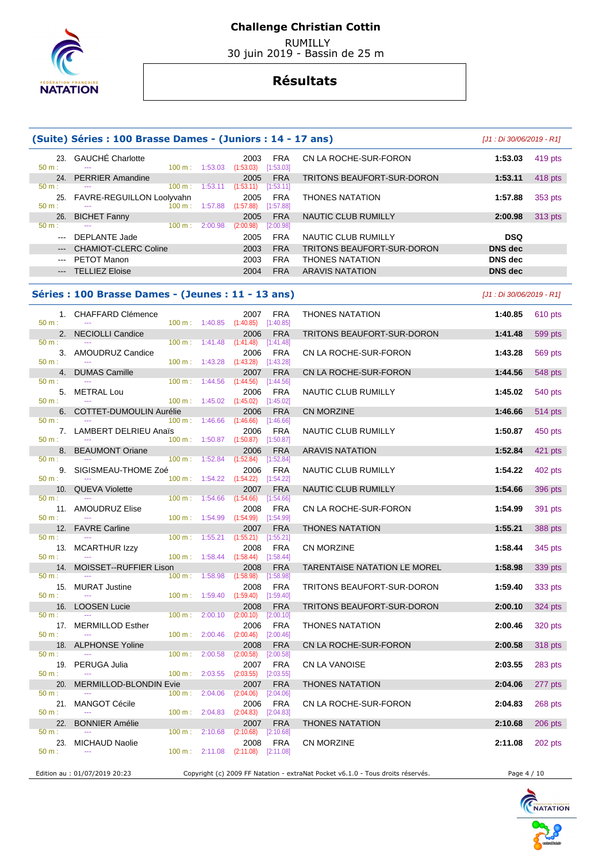

 RUMILLY 30 juin 2019 - Bassin de 25 m

# **Résultats**

|                                                                                                                                                                                                                                                                                                                                                                                                                                                                                     | (Suite) Séries : 100 Brasse Dames - (Juniors : 14 - 17 ans) |                          |                                      |                                                |                                      |                              | $[J1:Di 30/06/2019 - R1]$ |                 |
|-------------------------------------------------------------------------------------------------------------------------------------------------------------------------------------------------------------------------------------------------------------------------------------------------------------------------------------------------------------------------------------------------------------------------------------------------------------------------------------|-------------------------------------------------------------|--------------------------|--------------------------------------|------------------------------------------------|--------------------------------------|------------------------------|---------------------------|-----------------|
| 23.<br>50 m:                                                                                                                                                                                                                                                                                                                                                                                                                                                                        | GAUCHÉ Charlotte                                            |                          | $100 \text{ m}: 1:53.03$             | 2003<br>(1:53.03)                              | <b>FRA</b><br>[1:53.03]              | CN LA ROCHE-SUR-FORON        | 1:53.03                   | 419 pts         |
| 24.<br>$50 m$ :                                                                                                                                                                                                                                                                                                                                                                                                                                                                     | <b>PERRIER Amandine</b>                                     | 100 m:                   |                                      | 2005<br>$1:53.11$ $(1:53.11)$                  | <b>FRA</b>                           | TRITONS BEAUFORT-SUR-DORON   | 1:53.11                   | 418 pts         |
| 25.<br>50 m:                                                                                                                                                                                                                                                                                                                                                                                                                                                                        | <b>FAVRE-REGUILLON Loolyvahn</b>                            | 100 m:                   | 1:57.88                              | 2005<br>(1:57.88)                              | [1:53.11]<br><b>FRA</b><br>[1:57.88] | <b>THONES NATATION</b>       | 1:57.88                   | 353 pts         |
| 26.                                                                                                                                                                                                                                                                                                                                                                                                                                                                                 | <b>BICHET Fanny</b>                                         |                          |                                      | 2005                                           | <b>FRA</b>                           | NAUTIC CLUB RUMILLY          | 2:00.98                   | 313 pts         |
| 50 m:<br>$\frac{1}{2} \left( \frac{1}{2} \right) \left( \frac{1}{2} \right) \left( \frac{1}{2} \right) \left( \frac{1}{2} \right) \left( \frac{1}{2} \right) \left( \frac{1}{2} \right) \left( \frac{1}{2} \right) \left( \frac{1}{2} \right) \left( \frac{1}{2} \right) \left( \frac{1}{2} \right) \left( \frac{1}{2} \right) \left( \frac{1}{2} \right) \left( \frac{1}{2} \right) \left( \frac{1}{2} \right) \left( \frac{1}{2} \right) \left( \frac{1}{2} \right) \left( \frac$ | <b>DEPLANTE Jade</b>                                        | $100 \text{ m}: 2:00.98$ |                                      | (2:00.98)<br>2005                              | [2:00.98]<br><b>FRA</b>              | NAUTIC CLUB RUMILLY          | <b>DSQ</b>                |                 |
| $\frac{1}{2} \left( \frac{1}{2} \right) \left( \frac{1}{2} \right) \left( \frac{1}{2} \right) \left( \frac{1}{2} \right) \left( \frac{1}{2} \right) \left( \frac{1}{2} \right) \left( \frac{1}{2} \right) \left( \frac{1}{2} \right) \left( \frac{1}{2} \right) \left( \frac{1}{2} \right) \left( \frac{1}{2} \right) \left( \frac{1}{2} \right) \left( \frac{1}{2} \right) \left( \frac{1}{2} \right) \left( \frac{1}{2} \right) \left( \frac{1}{2} \right) \left( \frac$          | <b>CHAMIOT-CLERC Coline</b>                                 |                          |                                      | 2003                                           | <b>FRA</b>                           | TRITONS BEAUFORT-SUR-DORON   | <b>DNS dec</b>            |                 |
| $\sim$ $\sim$                                                                                                                                                                                                                                                                                                                                                                                                                                                                       | PETOT Manon                                                 |                          |                                      | 2003                                           | <b>FRA</b>                           | <b>THONES NATATION</b>       | <b>DNS</b> dec            |                 |
|                                                                                                                                                                                                                                                                                                                                                                                                                                                                                     | --- TELLIEZ Eloise                                          |                          |                                      | 2004                                           | <b>FRA</b>                           | <b>ARAVIS NATATION</b>       | <b>DNS dec</b>            |                 |
|                                                                                                                                                                                                                                                                                                                                                                                                                                                                                     | Séries : 100 Brasse Dames - (Jeunes : 11 - 13 ans)          |                          |                                      |                                                |                                      |                              | [J1 : Di 30/06/2019 - R1] |                 |
| 50 m:                                                                                                                                                                                                                                                                                                                                                                                                                                                                               | 1. CHAFFARD Clémence                                        |                          |                                      | 2007<br>100 m: 1:40.85 (1:40.85) [1:40.85]     | <b>FRA</b>                           | <b>THONES NATATION</b>       | 1:40.85                   | 610 pts         |
| 2.<br>50 m:                                                                                                                                                                                                                                                                                                                                                                                                                                                                         | <b>NECIOLLI Candice</b>                                     |                          |                                      | 2006                                           | <b>FRA</b>                           | TRITONS BEAUFORT-SUR-DORON   | 1:41.48                   | 599 pts         |
|                                                                                                                                                                                                                                                                                                                                                                                                                                                                                     | 3. AMOUDRUZ Candice                                         | $100 \text{ m}: 1:41.48$ |                                      | (1:41.48)<br>2006                              | $[1:41.48]$<br>FRA                   | CN LA ROCHE-SUR-FORON        | 1:43.28                   | 569 pts         |
| 50 m:                                                                                                                                                                                                                                                                                                                                                                                                                                                                               | 4. DUMAS Camille                                            |                          | $100 \text{ m}: 1:43.28$             | (1:43.28)<br>2007                              | [1:43.28]<br><b>FRA</b>              | CN LA ROCHE-SUR-FORON        | 1:44.56                   | 548 pts         |
| 50 m:                                                                                                                                                                                                                                                                                                                                                                                                                                                                               |                                                             | 100 m: 1:44.56           |                                      | (1:44.56)                                      | [1:44.56]                            |                              |                           |                 |
| 50 m:                                                                                                                                                                                                                                                                                                                                                                                                                                                                               | 5. METRAL Lou<br>$\frac{1}{2}$                              |                          | $100 \text{ m}: 1:45.02$ $(1:45.02)$ | 2006                                           | <b>FRA</b><br>[1:45.02]              | NAUTIC CLUB RUMILLY          | 1:45.02                   | 540 pts         |
| 6.                                                                                                                                                                                                                                                                                                                                                                                                                                                                                  | COTTET-DUMOULIN Aurélie                                     |                          |                                      | 2006                                           | <b>FRA</b>                           | CN MORZINE                   | 1:46.66                   | 514 pts         |
| 50 m:                                                                                                                                                                                                                                                                                                                                                                                                                                                                               | 7. LAMBERT DELRIEU Anaïs                                    | $100 \text{ m}: 1:46.66$ |                                      | (1:46.66)<br>2006                              | [1:46.66]<br><b>FRA</b>              | NAUTIC CLUB RUMILLY          | 1:50.87                   | 450 pts         |
| 50 m:<br>8.                                                                                                                                                                                                                                                                                                                                                                                                                                                                         | <b>BEAUMONT Oriane</b>                                      |                          |                                      | $100 \text{ m}: 1:50.87$ $(1:50.87)$<br>2006   | [1:50.87]<br><b>FRA</b>              | <b>ARAVIS NATATION</b>       | 1:52.84                   | 421 pts         |
| 50 m:                                                                                                                                                                                                                                                                                                                                                                                                                                                                               |                                                             | $100 \text{ m}: 1:52.84$ |                                      | (1:52.84)                                      | [1:52.84]                            |                              |                           |                 |
| 50 m:                                                                                                                                                                                                                                                                                                                                                                                                                                                                               | 9. SIGISMEAU-THOME Zoé                                      |                          | 100 m: 1:54.22                       | 2006<br>(1:54.22)                              | FRA<br>[1:54.22]                     | NAUTIC CLUB RUMILLY          | 1:54.22                   | 402 pts         |
| 50 m:                                                                                                                                                                                                                                                                                                                                                                                                                                                                               | 10. QUEVA Violette                                          | $100 \text{ m}: 1:54.66$ |                                      | 2007<br>(1:54.66)                              | <b>FRA</b><br>[1:54.66]              | NAUTIC CLUB RUMILLY          | 1:54.66                   | 396 pts         |
| 50 m:                                                                                                                                                                                                                                                                                                                                                                                                                                                                               | 11. AMOUDRUZ Elise                                          | 100 m: 1:54.99           |                                      | 2008                                           | <b>FRA</b>                           | CN LA ROCHE-SUR-FORON        | 1:54.99                   | 391 pts         |
| 12.                                                                                                                                                                                                                                                                                                                                                                                                                                                                                 | <b>FAVRE Carline</b>                                        |                          |                                      | (1:54.99)<br>2007                              | [1:54.99]<br><b>FRA</b>              | <b>THONES NATATION</b>       | 1:55.21                   | 388 pts         |
| 50 m:                                                                                                                                                                                                                                                                                                                                                                                                                                                                               | 13. MCARTHUR Izzy                                           |                          |                                      | $100 \text{ m}: 1:55.21 (1:55.21)$<br>2008     | [1:55.21]<br><b>FRA</b>              | CN MORZINE                   | 1:58.44                   | 345 pts         |
| 50 m:                                                                                                                                                                                                                                                                                                                                                                                                                                                                               | $\sim$ $\sim$                                               | 100 m: 1:58.44           |                                      | $(1:58.44)$ $[1:58.44]$                        |                                      |                              |                           |                 |
| 14.<br>$50 m$ :                                                                                                                                                                                                                                                                                                                                                                                                                                                                     | <b>MOISSET--RUFFIER Lison</b>                               | 100 m: 1:58.98           |                                      | 2008<br>$(1:58.98)$ [1:58.98]                  | <b>FRA</b>                           | TARENTAISE NATATION LE MOREL | 1:58.98                   | 339 pts         |
| 50 m:                                                                                                                                                                                                                                                                                                                                                                                                                                                                               | 15. MURAT Justine                                           |                          |                                      | 2008 FRA<br>100 m: 1:59.40 (1:59.40) [1:59.40] |                                      | TRITONS BEAUFORT-SUR-DORON   |                           | 1:59.40 333 pts |
|                                                                                                                                                                                                                                                                                                                                                                                                                                                                                     | 16. LOOSEN Lucie                                            |                          |                                      | 2008                                           | <b>FRA</b>                           | TRITONS BEAUFORT-SUR-DORON   | 2:00.10                   | 324 pts         |
| 50 m:                                                                                                                                                                                                                                                                                                                                                                                                                                                                               | 17. MERMILLOD Esther                                        | 100 m: 2:00.10           |                                      | (2:00.10)<br>2006                              | [2:00.10]<br>FRA                     | <b>THONES NATATION</b>       | 2:00.46                   | 320 pts         |
| 50 m:                                                                                                                                                                                                                                                                                                                                                                                                                                                                               |                                                             | 100 m: 2:00.46           |                                      | (2:00.46)                                      | [2:00.46]                            |                              |                           |                 |
| 18.<br>50 m:                                                                                                                                                                                                                                                                                                                                                                                                                                                                        | <b>ALPHONSE Yoline</b>                                      | $100 \text{ m}$ :        | 2:00.58                              | 2008<br>(2:00.58)                              | <b>FRA</b><br>[2:00.58]              | CN LA ROCHE-SUR-FORON        | 2:00.58                   | 318 pts         |
| 19.<br>50 m:                                                                                                                                                                                                                                                                                                                                                                                                                                                                        | PERUGA Julia                                                | 100 m: 2:03.55           |                                      | 2007<br>(2:03.55)                              | <b>FRA</b><br>[2:03.55]              | CN LA VANOISE                | 2:03.55                   | 283 pts         |
| 20.                                                                                                                                                                                                                                                                                                                                                                                                                                                                                 | <b>MERMILLOD-BLONDIN Evie</b>                               |                          |                                      | 2007                                           | <b>FRA</b>                           | <b>THONES NATATION</b>       | 2:04.06                   | 277 pts         |
| 50 m:<br>21.                                                                                                                                                                                                                                                                                                                                                                                                                                                                        | <b>MANGOT Cécile</b>                                        | $100 \text{ m}: 2:04.06$ |                                      | (2:04.06)<br>2006                              | [2:04.06]<br><b>FRA</b>              | CN LA ROCHE-SUR-FORON        | 2:04.83                   | 268 pts         |
| 50 m:<br>22.                                                                                                                                                                                                                                                                                                                                                                                                                                                                        | <b>BONNIER Amélie</b>                                       | $100 \text{ m}: 2:04.83$ |                                      | (2:04.83)<br>2007                              | [2:04.83]<br><b>FRA</b>              | <b>THONES NATATION</b>       | 2:10.68                   | 206 pts         |
| 50 m:                                                                                                                                                                                                                                                                                                                                                                                                                                                                               |                                                             | $100 \text{ m}: 2:10.68$ |                                      | (2:10.68)                                      | [2:10.68]                            |                              |                           |                 |
| 23.<br>50 m:                                                                                                                                                                                                                                                                                                                                                                                                                                                                        | <b>MICHAUD Naolie</b>                                       |                          | $100 \text{ m}: 2:11.08$             | 2008<br>(2:11.08)                              | <b>FRA</b><br>[2:11.08]              | CN MORZINE                   | 2:11.08                   | 202 pts         |

Edition au : 01/07/2019 20:23 Copyright (c) 2009 FF Natation - extraNat Pocket v6.1.0 - Tous droits réservés. Page 4 / 10

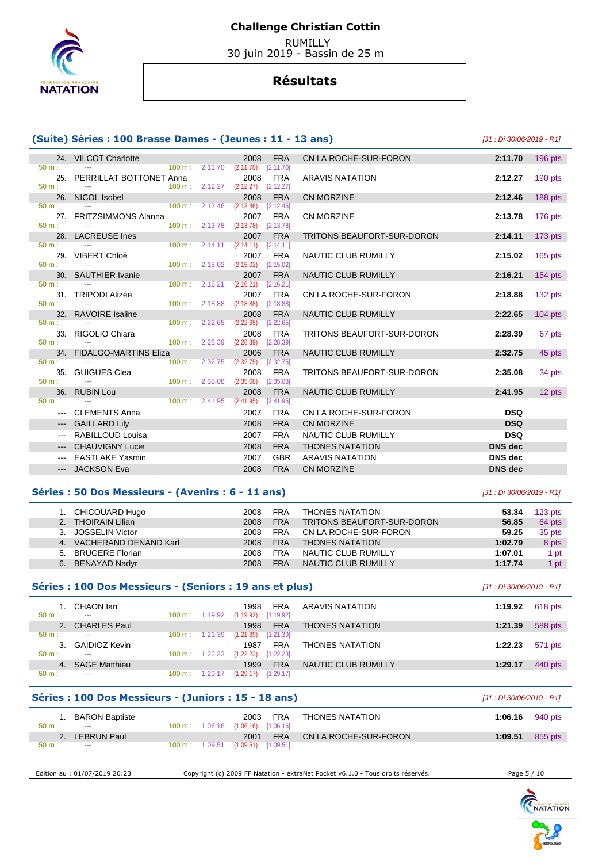

 RUMILLY 30 juin 2019 - Bassin de 25 m

## **Résultats**

| (Suite) Séries : 100 Brasse Dames - (Jeunes : 11 - 13 ans)<br>[J1 : Di 30/06/2019 - R1] |                              |                           |                           |                   |                         |                                   |                |           |  |  |  |
|-----------------------------------------------------------------------------------------|------------------------------|---------------------------|---------------------------|-------------------|-------------------------|-----------------------------------|----------------|-----------|--|--|--|
|                                                                                         | 24. VILCOT Charlotte         |                           |                           | 2008              | <b>FRA</b>              | CN LA ROCHE-SUR-FORON             | 2:11.70        | 196 pts   |  |  |  |
| $50 \text{ m}$ :                                                                        |                              |                           | $100 \text{ m}: 2:11.70$  | (2:11.70)         | [2:11.70]               |                                   |                |           |  |  |  |
| 25.<br>$50 m$ :                                                                         | PERRILLAT BOTTONET Anna      |                           | $100 m$ : 2:12.27         | 2008<br>(2:12.27) | <b>FRA</b><br>[2:12.27] | <b>ARAVIS NATATION</b>            | 2:12.27        | $190$ pts |  |  |  |
| 26.                                                                                     | NICOL Isobel                 |                           |                           | 2008              | <b>FRA</b>              | <b>CN MORZINE</b>                 | 2:12.46        | 188 pts   |  |  |  |
| $50 m$ :                                                                                |                              | $100 \text{ m}: 2:12.46$  |                           | (2:12.46)         | [2:12.46]               |                                   |                |           |  |  |  |
|                                                                                         | 27. FRITZSIMMONS Alanna      |                           |                           | 2007              | <b>FRA</b>              | <b>CN MORZINE</b>                 | 2:13.78        | 176 pts   |  |  |  |
| $50 m$ :                                                                                |                              |                           | 100 m: 2:13.78            | (2:13.78)         | [2:13.78]               |                                   |                |           |  |  |  |
| $50 m$ :                                                                                | 28. LACREUSE Ines            |                           | $100 \text{ m}: 2:14.11$  | 2007<br>(2:14.11) | <b>FRA</b><br>[2:14.11] | <b>TRITONS BEAUFORT-SUR-DORON</b> | 2:14.11        | 173 pts   |  |  |  |
| 29.                                                                                     | <b>VIBERT Chloé</b>          |                           |                           | 2007              | <b>FRA</b>              | NAUTIC CLUB RUMILLY               | 2:15.02        | $165$ pts |  |  |  |
| $50 m$ :                                                                                | $\sim$                       |                           | $100 \text{ m}: 2:15.02$  | (2:15.02)         | [2:15.02]               |                                   |                |           |  |  |  |
| 30 <sub>1</sub>                                                                         | <b>SAUTHIER Ivanie</b>       |                           |                           | 2007              | <b>FRA</b>              | NAUTIC CLUB RUMILLY               | 2:16.21        | $154$ pts |  |  |  |
| $50 m$ :                                                                                |                              |                           | 100 m: 2:16.21            | (2:16.21)         | [2:16.21]               |                                   |                |           |  |  |  |
| 31.<br>$50 m$ :                                                                         | <b>TRIPODI Alizée</b>        |                           | $100 \text{ m}: 2:18.88$  | 2007<br>(2:18.88) | <b>FRA</b><br>[2:18.88] | CN LA ROCHE-SUR-FORON             | 2:18.88        | 132 pts   |  |  |  |
| 32.                                                                                     | <b>RAVOIRE</b> Isaline       |                           |                           | 2008              | <b>FRA</b>              | NAUTIC CLUB RUMILLY               | 2:22.65        | $104$ pts |  |  |  |
| $50 m$ :                                                                                |                              |                           | 100 m: 2:22.65            | (2:22.65)         | [2:22.65]               |                                   |                |           |  |  |  |
| 33.                                                                                     | RIGOLIO Chiara               |                           |                           | 2008              | <b>FRA</b>              | <b>TRITONS BEAUFORT-SUR-DORON</b> | 2:28.39        | 67 pts    |  |  |  |
| $50 m$ :                                                                                |                              |                           | $100 \text{ m}$ : 2:28.39 | (2:28.39)         | [2:28.39]               |                                   |                |           |  |  |  |
| 34 <sub>1</sub><br>$50 m$ :                                                             | <b>FIDALGO-MARTINS Eliza</b> | 100 m :                   | 2:32.75                   | 2006<br>(2:32.75) | <b>FRA</b><br>[2:32.75] | <b>NAUTIC CLUB RUMILLY</b>        | 2:32.75        | 45 pts    |  |  |  |
| 35.                                                                                     | <b>GUIGUES Clea</b>          |                           |                           | 2008              | <b>FRA</b>              | TRITONS BEAUFORT-SUR-DORON        | 2:35.08        | 34 pts    |  |  |  |
| $50 m$ :                                                                                |                              | $100 \text{ m}$ : 2:35.08 |                           | (2:35.08)         | [2:35.08]               |                                   |                |           |  |  |  |
|                                                                                         | 36. RUBIN Lou                |                           |                           | 2008              | <b>FRA</b>              | <b>NAUTIC CLUB RUMILLY</b>        | 2:41.95        | 12 pts    |  |  |  |
| $50 m$ :                                                                                |                              |                           | 100 m: 2:41.95            | (2:41.95)         | [2:41.95]               |                                   |                |           |  |  |  |
| $\qquad \qquad -$                                                                       | <b>CLEMENTS Anna</b>         |                           |                           | 2007              | <b>FRA</b>              | CN LA ROCHE-SUR-FORON             | <b>DSQ</b>     |           |  |  |  |
| $---$                                                                                   | <b>GAILLARD Lily</b>         |                           |                           | 2008              | <b>FRA</b>              | <b>CN MORZINE</b>                 | <b>DSQ</b>     |           |  |  |  |
| $---$                                                                                   | RABILLOUD Louisa             |                           |                           | 2007              | <b>FRA</b>              | <b>NAUTIC CLUB RUMILLY</b>        | <b>DSQ</b>     |           |  |  |  |
|                                                                                         | <b>CHAUVIGNY Lucie</b>       |                           |                           | 2008              | <b>FRA</b>              | <b>THONES NATATION</b>            | <b>DNS</b> dec |           |  |  |  |
| $--$                                                                                    | <b>EASTLAKE Yasmin</b>       |                           |                           | 2007              | <b>GBR</b>              | <b>ARAVIS NATATION</b>            | <b>DNS</b> dec |           |  |  |  |
|                                                                                         | <b>JACKSON Eva</b>           |                           |                           | 2008              | <b>FRA</b>              | <b>CN MORZINE</b>                 | <b>DNS</b> dec |           |  |  |  |
|                                                                                         |                              |                           |                           |                   |                         |                                   |                |           |  |  |  |

### **Séries : 50 Dos Messieurs - (Avenirs : 6 - 11 ans)** [J1 : Di 30/06/2019 - R1]

| 1. CHICOUARD Hugo            | 2008 | <b>FRA</b> | <b>THONES NATATION</b>     | 53.34   | $123$ pts |
|------------------------------|------|------------|----------------------------|---------|-----------|
| <b>THOIRAIN Lilian</b><br>2. | 2008 | <b>FRA</b> | TRITONS BEAUFORT-SUR-DORON | 56.85   | 64 pts    |
| <b>JOSSELIN Victor</b><br>3. | 2008 | <b>FRA</b> | CN LA ROCHE-SUR-FORON      | 59.25   | 35 pts    |
| VACHERAND DENAND Karl<br>4.  | 2008 | <b>FRA</b> | <b>THONES NATATION</b>     | 1:02.79 | 8 pts     |
| <b>BRUGERE Florian</b><br>5. | 2008 | <b>FRA</b> | NAUTIC CLUB RUMILLY        | 1:07.01 | - pt      |
| 6. BENAYAD Nadyr             | 2008 | <b>FRA</b> | NAUTIC CLUB RUMILLY        | 1:17.74 | pt        |

| Séries : 100 Dos Messieurs - (Seniors : 19 ans et plus) | [J1 : Di 30/06/2019 - R1] |  |                          |                 |  |
|---------------------------------------------------------|---------------------------|--|--------------------------|-----------------|--|
| t. CHAON lan                                            |                           |  | 1998 FRA ARAVIS NATATION | 1:19.92 618 pts |  |

|          | CHAON lan            |                   |         | <b>FRA</b><br>1998     | ARAVIS NATATION        | 1:19.92 | 618 pts |
|----------|----------------------|-------------------|---------|------------------------|------------------------|---------|---------|
| $50 m$ : | $\cdots$             | $100 \text{ m}$ : | 1:19.92 | [1:19.92]<br>(1:19.92) |                        |         |         |
| 2.       | <b>CHARLES Paul</b>  |                   |         | <b>FRA</b><br>1998     | <b>THONES NATATION</b> | 1:21.39 | 588 pts |
| $50 m$ : | $- - -$              | $100 \text{ m}$ : | 1:21.39 | [1:21.39]<br>(1:21.39) |                        |         |         |
|          | 3. GAIDIOZ Kevin     |                   |         | <b>FRA</b><br>1987     | THONES NATATION        | 1:22.23 | 571 pts |
| $50 m$ : | $- - -$              | $100 \text{ m}$ : | 1:22.23 | (1:22.23)<br>[1:22.23] |                        |         |         |
| 4.       | <b>SAGE Matthieu</b> |                   |         | <b>FRA</b><br>1999     | NAUTIC CLUB RUMILLY    | 1:29.17 | 440 pts |
| $50 m$ : | $\cdots$             | 100 m:            | 1:29.17 | [1:29.17]<br>(1:29.17) |                        |         |         |
|          |                      |                   |         |                        |                        |         |         |

### **Séries : 100 Dos Messieurs - (Juniors : 15 - 18 ans)** [J1 : Di 30/06/2019 - R1]

| $50 m$ : | <b>BARON Baptiste</b><br>$\sim$ $\sim$ |                   |         | 2003<br>100 m: 1:06.16 (1:06.16) [1:06.16] | <b>FRA</b> | <b>THONES NATATION</b> | 1:06.16 | 940 pts |
|----------|----------------------------------------|-------------------|---------|--------------------------------------------|------------|------------------------|---------|---------|
|          | LEBRUN Paul                            |                   |         | 2001                                       | <b>FRA</b> | CN LA ROCHE-SUR-FORON  | 1:09.51 | 855 pts |
| $50 m$ : | $\scriptstyle\cdots$                   | $100 \text{ m}$ : | 1:09.51 | (1:09.51)                                  | [1:09.51]  |                        |         |         |

Edition au : 01/07/2019 20:23 Copyright (c) 2009 FF Natation - extraNat Pocket v6.1.0 - Tous droits réservés. Page 5 / 10

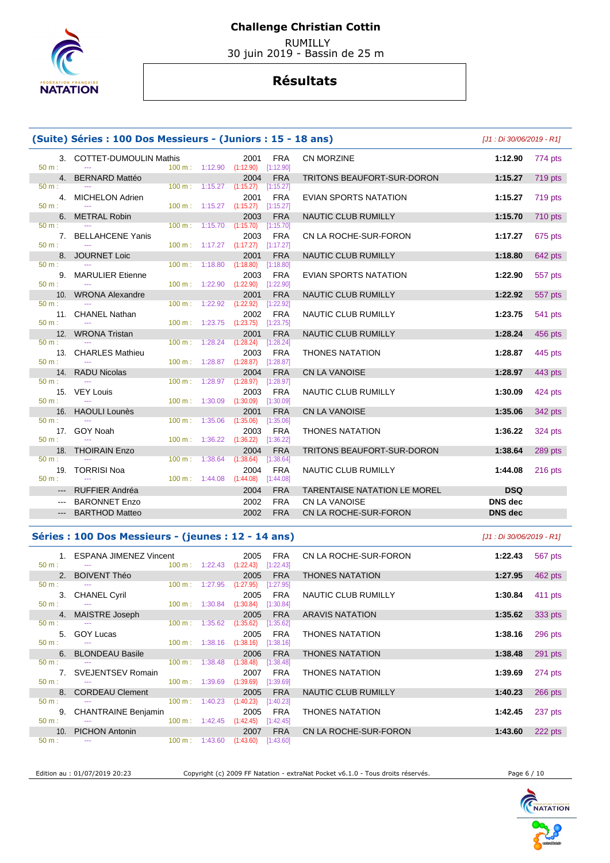

 RUMILLY 30 juin 2019 - Bassin de 25 m

## **Résultats**

| (Suite) Séries : 100 Dos Messieurs - (Juniors : 15 - 18 ans)                                   | [J1 : Di 30/06/2019 - R1]           |                   |                          |                                |                                                   |                |           |
|------------------------------------------------------------------------------------------------|-------------------------------------|-------------------|--------------------------|--------------------------------|---------------------------------------------------|----------------|-----------|
| $50 m$ :                                                                                       | 3. COTTET-DUMOULIN Mathis           |                   | $100 m$ : 1:12.90        | 2001<br>(1:12.90)<br>[1:12.90] | <b>FRA</b><br>CN MORZINE                          | 1:12.90        | 774 pts   |
| 4.                                                                                             | <b>BERNARD Mattéo</b>               |                   |                          | 2004                           | <b>FRA</b><br>TRITONS BEAUFORT-SUR-DORON          | 1:15.27        | 719 pts   |
| $50 m$ :                                                                                       |                                     |                   | $100 m$ : 1:15.27        | (1:15.27)<br>[1:15.27]         |                                                   |                |           |
| 50 m:                                                                                          | 4. MICHELON Adrien<br>$\sim$ $\sim$ |                   | $100 m$ : 1:15.27        | 2001<br>(1:15.27)<br>[1:15.27] | <b>FRA</b><br>EVIAN SPORTS NATATION               | 1:15.27        | 719 pts   |
| 6.                                                                                             | <b>METRAL Robin</b>                 |                   |                          | 2003                           | <b>NAUTIC CLUB RUMILLY</b><br><b>FRA</b>          | 1:15.70        | 710 pts   |
| 50 m:                                                                                          |                                     |                   | $100 m$ : 1:15.70        | (1:15.70)<br>[1:15.70]         |                                                   |                |           |
|                                                                                                | 7. BELLAHCENE Yanis                 |                   |                          | 2003                           | <b>FRA</b><br>CN LA ROCHE-SUR-FORON               | 1:17.27        | 675 pts   |
| $50 m$ :                                                                                       |                                     |                   | 100 m: 1:17.27 (1:17.27) | [1:17.27]                      |                                                   |                |           |
|                                                                                                | 8. JOURNET Loic                     |                   |                          | 2001                           | <b>FRA</b><br>NAUTIC CLUB RUMILLY                 | 1:18.80        | 642 pts   |
| 50 m:                                                                                          |                                     |                   | $100 \text{ m}: 1:18.80$ | (1:18.80)<br>[1:18.80]         |                                                   |                |           |
| $50 m$ :                                                                                       | 9. MARULIER Etienne<br>$\sim$       |                   | 100 m: 1:22.90           | 2003<br>(1:22.90)<br>[1:22.90] | <b>FRA</b><br>EVIAN SPORTS NATATION               | 1:22.90        | 557 pts   |
| 10.                                                                                            | <b>WRONA Alexandre</b>              |                   |                          | 2001                           | <b>FRA</b><br>NAUTIC CLUB RUMILLY                 | 1:22.92        | 557 pts   |
| $50 m$ :                                                                                       |                                     |                   | 100 m: 1:22.92           | (1:22.92)<br>[1:22.92]         |                                                   |                |           |
|                                                                                                | 11. CHANEL Nathan                   |                   |                          | 2002                           | <b>FRA</b><br>NAUTIC CLUB RUMILLY                 | 1:23.75        | 541 pts   |
| $50 m$ :                                                                                       | $\overline{a}$                      |                   | 100 m: 1:23.75           | (1:23.75)<br>[1:23.75]         |                                                   |                |           |
| 12.                                                                                            | <b>WRONA Tristan</b>                |                   |                          | 2001                           | <b>FRA</b><br>NAUTIC CLUB RUMILLY                 | 1:28.24        | 456 pts   |
| $50 m$ :                                                                                       | $\sim$                              | $100 \text{ m}$ : | 1:28.24                  | (1:28.24)<br>[1:28.24]         |                                                   |                |           |
|                                                                                                | 13. CHARLES Mathieu                 |                   |                          | 2003                           | <b>FRA</b><br><b>THONES NATATION</b>              | 1:28.87        | 445 pts   |
| $50 m$ :                                                                                       |                                     |                   | 100 m: 1:28.87           | (1:28.87)<br>[1:28.87]         |                                                   |                |           |
|                                                                                                | 14. RADU Nicolas                    |                   |                          | 2004                           | CN LA VANOISE<br><b>FRA</b>                       | 1:28.97        | 443 pts   |
| $50 m$ :                                                                                       |                                     | 100 m:            | 1:28.97                  | (1:28.97)<br>[1:28.97]         |                                                   |                |           |
| $50 m$ :                                                                                       | 15. VEY Louis<br>$\sim$             |                   | $100 \text{ m}: 1:30.09$ | 2003<br>(1:30.09)<br>[1:30.09] | <b>FRA</b><br>NAUTIC CLUB RUMILLY                 | 1:30.09        | 424 pts   |
|                                                                                                | 16. HAOULI Lounès                   |                   |                          | 2001                           | <b>FRA</b><br>CN LA VANOISE                       | 1:35.06        | 342 pts   |
| $50 m$ :                                                                                       |                                     |                   | $100 \text{ m}: 1:35.06$ | (1:35.06)<br>[1:35.06]         |                                                   |                |           |
|                                                                                                | 17. GOY Noah                        |                   |                          | 2003                           | <b>FRA</b><br><b>THONES NATATION</b>              | 1:36.22        | 324 pts   |
| 50 m:                                                                                          |                                     |                   | $100 m$ : 1:36.22        | (1:36.22)<br>[1:36.22]         |                                                   |                |           |
| 18.                                                                                            | <b>THOIRAIN Enzo</b>                |                   |                          | 2004                           | <b>FRA</b><br>TRITONS BEAUFORT-SUR-DORON          | 1:38.64        | 289 pts   |
| 50 m:                                                                                          | $\frac{1}{2}$                       | 100 m:            | 1:38.64                  | (1:38.64)<br>[1:38.64]         |                                                   |                |           |
|                                                                                                | 19. TORRISI Noa                     |                   |                          | 2004                           | <b>FRA</b><br>NAUTIC CLUB RUMILLY                 | 1:44.08        | $216$ pts |
| $50 m$ :                                                                                       | $\sim$ $\sim$                       |                   | $100 \text{ m}: 1:44.08$ | (1:44.08)<br>[1:44.08]         |                                                   |                |           |
|                                                                                                | --- RUFFIER Andréa                  |                   |                          | 2004                           | <b>FRA</b><br><b>TARENTAISE NATATION LE MOREL</b> | <b>DSQ</b>     |           |
| $\frac{1}{2} \left( \frac{1}{2} \right) \left( \frac{1}{2} \right) \left( \frac{1}{2} \right)$ | <b>BARONNET Enzo</b>                |                   |                          | 2002                           | <b>FRA</b><br>CN LA VANOISE                       | <b>DNS</b> dec |           |
| $\qquad \qquad - -$                                                                            | <b>BARTHOD Matteo</b>               |                   |                          | 2002                           | <b>FRA</b><br>CN LA ROCHE-SUR-FORON               | <b>DNS</b> dec |           |
|                                                                                                |                                     |                   |                          |                                |                                                   |                |           |

### **Séries : 100 Dos Messieurs - (jeunes : 12 - 14 ans)** [J1 : Di 30/06/2019 - R1]

|                | 1. ESPANA JIMENEZ Vincent           |                           |         | 2005              | <b>FRA</b>              | CN LA ROCHE-SUR-FORON  | 1:22.43 | 567 pts |
|----------------|-------------------------------------|---------------------------|---------|-------------------|-------------------------|------------------------|---------|---------|
| $50 m$ :       |                                     | $100 \text{ m}: 1:22.43$  |         | (1:22.43)         | [1:22.43]               |                        |         |         |
|                | 2. BOIVENT Théo                     |                           |         | 2005              | <b>FRA</b>              | <b>THONES NATATION</b> | 1:27.95 | 462 pts |
| $50 m$ :       | $\sim$ $\sim$                       | $100 \text{ m}$ :         | 1:27.95 | (1:27.95)         | [1:27.95]               |                        |         |         |
|                | 3. CHANEL Cyril                     |                           |         | 2005              | <b>FRA</b>              | NAUTIC CLUB RUMILLY    | 1:30.84 | 411 pts |
| $50 m$ :       |                                     | $100 \text{ m}$ : 1:30.84 |         | (1:30.84)         | [1:30.84]               |                        |         |         |
|                | 4. MAISTRE Joseph                   |                           |         | 2005              | <b>FRA</b>              | <b>ARAVIS NATATION</b> | 1:35.62 | 333 pts |
| $50 m$ :       | $  -$                               | $100 \text{ m}$ :         | 1:35.62 | (1:35.62)         | [1:35.62]               |                        |         |         |
|                | 5. GOY Lucas                        |                           |         | 2005              | FRA                     | <b>THONES NATATION</b> | 1:38.16 | 296 pts |
| $50 m$ :       | $\sim$ $\sim$                       | $100 \text{ m}$ : 1:38.16 |         | (1:38.16)         | [1:38.16]               |                        |         |         |
|                | 6. BLONDEAU Basile                  |                           |         | 2006              | <b>FRA</b>              | <b>THONES NATATION</b> | 1:38.48 | 291 pts |
| $50 m$ :       | $-$                                 | $100 \text{ m}$ : 1:38.48 |         | (1:38.48)         | [1:38.48]               |                        |         |         |
|                | 7. SVEJENTSEV Romain                |                           |         | 2007              | <b>FRA</b>              | <b>THONES NATATION</b> | 1:39.69 | 274 pts |
| $50 m$ :       |                                     | $100 \text{ m}: 1:39.69$  |         | (1:39.69)         | [1:39.69]               |                        |         |         |
|                | 8. CORDEAU Clement                  |                           |         | 2005              | <b>FRA</b>              | NAUTIC CLUB RUMILLY    | 1:40.23 | 266 pts |
| $50 m$ :       | $\cdots$                            | $100 \text{ m}$ : 1:40.23 |         | (1:40.23)         | [1:40.23]               |                        |         |         |
| 9.<br>$50 m$ : | CHANTRAINE Benjamin                 | $100 m$ : 1:42.45         |         | 2005              | <b>FRA</b>              | <b>THONES NATATION</b> | 1:42.45 | 237 pts |
|                |                                     |                           |         | (1:42.45)         | [1:42.45]               |                        |         |         |
| $50 m$ :       | 10. PICHON Antonin<br>$\sim$ $\sim$ | $100 \text{ m}: 1:43.60$  |         | 2007<br>(1:43.60) | <b>FRA</b><br>[1:43.60] | CN LA ROCHE-SUR-FORON  | 1:43.60 | 222 pts |
|                |                                     |                           |         |                   |                         |                        |         |         |

Edition au : 01/07/2019 20:23 Copyright (c) 2009 FF Natation - extraNat Pocket v6.1.0 - Tous droits réservés. Page 6 / 10

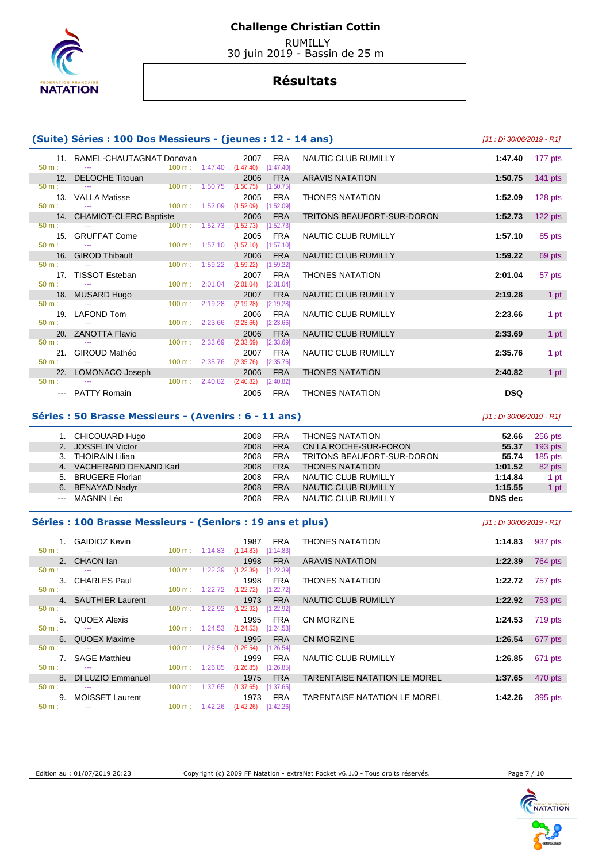

 RUMILLY 30 juin 2019 - Bassin de 25 m

## **Résultats**

|                  | (Suite) Séries : 100 Dos Messieurs - (jeunes : 12 - 14 ans)                      |                                      |                                            |            |                            | [J1 : Di 30/06/2019 - R1] |           |
|------------------|----------------------------------------------------------------------------------|--------------------------------------|--------------------------------------------|------------|----------------------------|---------------------------|-----------|
| $50 m$ :         | 11. RAMEL-CHAUTAGNAT Donovan<br>$100 \text{ m}: 1:47.40$ $(1:47.40)$ $[1:47.40]$ |                                      | 2007                                       | <b>FRA</b> | <b>NAUTIC CLUB RUMILLY</b> | 1:47.40                   | 177 pts   |
|                  | 12. DELOCHE Titouan                                                              |                                      | 2006                                       | <b>FRA</b> | <b>ARAVIS NATATION</b>     | 1:50.75                   | 141 pts   |
| $50 \text{ m}$ : |                                                                                  | $100 \text{ m}: 1:50.75$ $(1:50.75)$ |                                            | [1:50.75]  |                            |                           |           |
| $50 m$ :         | 13. VALLA Matisse                                                                | $100 \text{ m}$ : 1:52.09            | 2005<br>$(1:52.09)$ [1:52.09]              | FRA        | <b>THONES NATATION</b>     | 1:52.09                   | 128 pts   |
|                  | 14. CHAMIOT-CLERC Baptiste                                                       |                                      | 2006                                       | <b>FRA</b> | TRITONS BEAUFORT-SUR-DORON | 1:52.73                   | $122$ pts |
| $50 \text{ m}$ : |                                                                                  | $100 \text{ m}: 1:52.73$ $(1:52.73)$ |                                            | [1:52.73]  |                            |                           |           |
| $50 \text{ m}$ : | 15. GRUFFAT Come                                                                 |                                      | 2005<br>100 m: 1:57.10 (1:57.10) [1:57.10] | FRA        | NAUTIC CLUB RUMILLY        | 1:57.10                   | 85 pts    |
|                  | 16. GIROD Thibault                                                               |                                      | 2006                                       | <b>FRA</b> | NAUTIC CLUB RUMILLY        | 1:59.22                   | 69 pts    |
| $50 \text{ m}$ : | $\sim$ $\sim$                                                                    | 100 m: 1:59.22 (1:59.22)             |                                            | [1:59.22]  |                            |                           |           |
| $50 m$ :         | 17. TISSOT Esteban<br><b>Contract Contract</b>                                   |                                      | 2007<br>100 m: 2:01.04 (2:01.04) [2:01.04] | <b>FRA</b> | <b>THONES NATATION</b>     | 2:01.04                   | 57 pts    |
|                  | 18. MUSARD Hugo                                                                  |                                      | 2007                                       | <b>FRA</b> | <b>NAUTIC CLUB RUMILLY</b> | 2:19.28                   | 1 pt      |
| $50 m$ :         | <b>Service</b>                                                                   | $100 \text{ m}: 2:19.28$             | (2:19.28)                                  | [2:19.28]  |                            |                           |           |
|                  | 19. LAFOND Tom                                                                   |                                      | 2006                                       | <b>FRA</b> | NAUTIC CLUB RUMILLY        | 2:23.66                   | 1 pt      |
| $50 m$ :         | <b>Continued State</b>                                                           | $100 \text{ m}: 2:23.66$ $(2:23.66)$ |                                            | [2:23.66]  |                            |                           |           |
|                  | 20. ZANOTTA Flavio                                                               |                                      | 2006                                       | <b>FRA</b> | <b>NAUTIC CLUB RUMILLY</b> | 2:33.69                   | 1 pt      |
| $50 \text{ m}$ : |                                                                                  | $100 \text{ m}: 2:33.69$             | (2:33.69)                                  | [2:33.69]  |                            |                           |           |
|                  | 21. GIROUD Mathéo                                                                |                                      | 2007                                       | <b>FRA</b> | NAUTIC CLUB RUMILLY        | 2:35.76                   | 1 pt      |
| $50 m$ :         | $\sim$ $\sim$                                                                    | 100 m: 2:35.76 (2:35.76)             |                                            | [2:35.76]  |                            |                           |           |
|                  | 22. LOMONACO Joseph                                                              |                                      | 2006                                       | <b>FRA</b> | <b>THONES NATATION</b>     | 2:40.82                   | 1 pt      |
| $50 \text{ m}$ : |                                                                                  | $100 \text{ m}: 2:40.82$             | (2:40.82)                                  | [2:40.82]  |                            |                           |           |
|                  | --- PATTY Romain                                                                 |                                      | 2005                                       | FRA        | <b>THONES NATATION</b>     | <b>DSQ</b>                |           |
|                  | Séries : 50 Brasse Messieurs - (Avenirs : 6 - 11 ans)                            |                                      |                                            |            |                            | [J1 : Di 30/06/2019 - R1] |           |

|      | CHICOUARD Hugo         | 2008 | <b>FRA</b> | <b>THONES NATATION</b>     | 52.66   | 256 pts   |
|------|------------------------|------|------------|----------------------------|---------|-----------|
| 2.   | <b>JOSSELIN Victor</b> | 2008 | <b>FRA</b> | CN LA ROCHE-SUR-FORON      | 55.37   | $193$ pts |
|      | <b>THOIRAIN Lilian</b> | 2008 | <b>FRA</b> | TRITONS BEAUFORT-SUR-DORON | 55.74   | $185$ pts |
| 4.7  | VACHERAND DENAND Karl  | 2008 | <b>FRA</b> | <b>THONES NATATION</b>     | 1:01.52 | 82 pts    |
| 5.   | <b>BRUGERE Florian</b> | 2008 | <b>FRA</b> | NAUTIC CLUB RUMILLY        | 1:14.84 | 1 pt      |
| 6.   | <b>BENAYAD Nadyr</b>   | 2008 | <b>FRA</b> | NAUTIC CLUB RUMILLY        | 1:15.55 | 1 pt      |
| $--$ | MAGNIN Léo             | 2008 | <b>FRA</b> | NAUTIC CLUB RUMILLY        | DNS dec |           |

### **Séries : 100 Brasse Messieurs - (Seniors : 19 ans et plus)** [J1 : Di 30/06/2019 - R1]

|          | 1. GAIDIOZ Kevin                 |                   |                          | 1987      | FRA        | <b>THONES NATATION</b>              | 1:14.83 | 937 pts |
|----------|----------------------------------|-------------------|--------------------------|-----------|------------|-------------------------------------|---------|---------|
| $50 m$ : | $\sim$ $\sim$                    |                   | $100 \text{ m}: 1:14.83$ | (1:14.83) | [1:14.83]  |                                     |         |         |
|          | 2. CHAON lan                     |                   |                          | 1998      | <b>FRA</b> | <b>ARAVIS NATATION</b>              | 1:22.39 | 764 pts |
| $50 m$ : | <b>Service</b>                   | 100 m:            | 1:22.39                  | (1:22.39) | [1:22.39]  |                                     |         |         |
|          | 3. CHARLES Paul                  |                   |                          | 1998      | <b>FRA</b> | <b>THONES NATATION</b>              | 1:22.72 | 757 pts |
| $50 m$ : | $\sim$ $\sim$                    | $100 \text{ m}$ : | 1:22.72                  | (1:22.72) | [1:22.72]  |                                     |         |         |
|          |                                  |                   |                          |           |            |                                     |         |         |
|          | 4. SAUTHIER Laurent              |                   |                          | 1973      | <b>FRA</b> | NAUTIC CLUB RUMILLY                 | 1:22.92 | 753 pts |
| $50 m$ : |                                  | 100 m:            | 1:22.92                  | (1:22.92) | [1:22.92]  |                                     |         |         |
|          | 5. QUOEX Alexis                  |                   |                          | 1995      | <b>FRA</b> | <b>CN MORZINE</b>                   | 1:24.53 | 719 pts |
| $50 m$ : | <b><i><u>Participate</u></i></b> |                   | $100 \text{ m}: 1:24.53$ | (1:24.53) | [1:24.53]  |                                     |         |         |
|          | 6. QUOEX Maxime                  |                   |                          | 1995      | <b>FRA</b> | <b>CN MORZINE</b>                   | 1:26.54 | 677 pts |
|          |                                  |                   |                          |           |            |                                     |         |         |
| $50 m$ : |                                  | $100 \text{ m}$ : | 1:26.54                  | (1:26.54) | [1:26.54]  |                                     |         |         |
|          | 7. SAGE Matthieu                 |                   |                          | 1999      | <b>FRA</b> | NAUTIC CLUB RUMILLY                 | 1:26.85 | 671 pts |
| $50 m$ : | $\sim$ $\sim$                    | $100 \text{ m}$ : | 1:26.85                  | (1:26.85) | [1:26.85]  |                                     |         |         |
|          | 8. DI LUZIO Emmanuel             |                   |                          | 1975      | <b>FRA</b> | <b>TARENTAISE NATATION LE MOREL</b> | 1:37.65 | 470 pts |
| $50 m$ : | $\sim$ $\sim$                    | 100 m:            | 1:37.65                  | (1:37.65) | [1:37.65]  |                                     |         |         |
|          |                                  |                   |                          |           |            |                                     |         |         |
|          | 9. MOISSET Laurent               |                   |                          | 1973      | FRA        | TARENTAISE NATATION LE MOREL        | 1:42.26 | 395 pts |
| $50 m$ : | $  -$                            | $100 \text{ m}$ : | 1:42.26                  | (1:42.26) | [1:42.26]  |                                     |         |         |

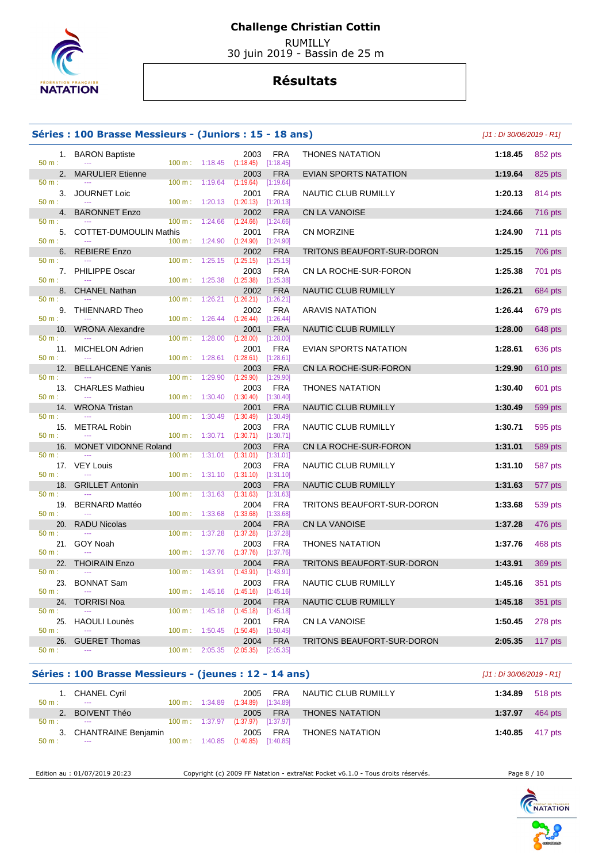

 RUMILLY 30 juin 2019 - Bassin de 25 m

## **Résultats**

### **Séries : 100 Brasse Messieurs - (Juniors : 15 - 18 ans)** [J1 : Di 30/06/2019 - R1]

50 m : --- 100 m : 1:18.45 (1:18.45) [1:18.45]

 $(1:19.64)$ 

 $1:20.13$   $(1:20.13)$   $[1:20.13]$ 

 1. BARON Baptiste 2003 FRA THONES NATATION **1:18.45** 852 pts 2. MARULIER Etienne **2003** FRA EVIAN SPORTS NATATION **1:19.64** 825 pts **1:19.64 1:19.64 1:19.64 1:19.64 1:19.64 1:19.64 1:19.64 1:19.64 1:19.64 1:19.64 1:19.64 1:19.64 1:19.64 1:19.64 1:19.64** 3. JOURNET Loic 2001 FRA NAUTIC CLUB RUMILLY **1:20.13** 814 pts 4. BARONNET Enzo 2002 FRA CN LA VANOISE **1:24.66** 716 pts

| 50 m:    | $\sim$                            |                |                                      | 100 m: 1:24.66 (1:24.66) [1:24.66]                |                            |         |                |
|----------|-----------------------------------|----------------|--------------------------------------|---------------------------------------------------|----------------------------|---------|----------------|
|          | 5. COTTET-DUMOULIN Mathis         |                |                                      | 2001<br><b>FRA</b>                                | <b>CN MORZINE</b>          | 1:24.90 | $711$ pts      |
| 50 m:    |                                   |                |                                      | 100 m: 1:24.90 (1:24.90) [1:24.90]                |                            |         |                |
|          | 6. REBIERE Enzo                   |                |                                      | 2002<br><b>FRA</b>                                | TRITONS BEAUFORT-SUR-DORON | 1:25.15 | 706 pts        |
| 50 m:    |                                   |                |                                      | $100 \text{ m}: 1:25.15 (1:25.15)$<br>[1:25.15]   |                            |         |                |
|          | 7. PHILIPPE Oscar                 |                |                                      | 2003<br><b>FRA</b>                                | CN LA ROCHE-SUR-FORON      | 1:25.38 | 701 pts        |
| $50 m$ : | ---                               |                | $100 \text{ m}: 1:25.38$ $(1:25.38)$ | [1:25.38]                                         |                            |         |                |
|          | 8. CHANEL Nathan                  |                |                                      | 2002<br><b>FRA</b>                                | NAUTIC CLUB RUMILLY        | 1:26.21 | 684 pts        |
| 50 m:    |                                   |                |                                      | $100 \text{ m}: 1:26.21$ $(1:26.21)$ $[1:26.21]$  |                            |         |                |
|          | 9. THIENNARD Theo                 |                |                                      | 2002<br>FRA                                       | ARAVIS NATATION            | 1:26.44 | 679 pts        |
| $50 m$ : |                                   |                |                                      | $100 \text{ m}: 1:26.44 (1:26.44) [1:26.44]$      |                            |         |                |
|          |                                   |                |                                      |                                                   |                            |         |                |
|          | 10. WRONA Alexandre               |                |                                      | <b>FRA</b><br>2001                                | NAUTIC CLUB RUMILLY        | 1:28.00 | 648 pts        |
| 50 m:    |                                   |                | $100 \text{ m}: 1:28.00$             | (1:28.00)<br>[1:28.00]                            |                            |         |                |
|          | 11. MICHELON Adrien               |                |                                      | <b>FRA</b><br>2001                                | EVIAN SPORTS NATATION      | 1:28.61 | 636 pts        |
| $50 m$ : | $\sim$                            |                |                                      | 100 m: 1:28.61 (1:28.61) [1:28.61]                |                            |         |                |
|          | 12. BELLAHCENE Yanis              |                |                                      | 2003<br><b>FRA</b>                                | CN LA ROCHE-SUR-FORON      | 1:29.90 | 610 pts        |
| 50 m:    |                                   |                | $100 \text{ m}: 1:29.90 (1:29.90)$   | [1:29.90]                                         |                            |         |                |
|          | 13. CHARLES Mathieu               |                |                                      | 2003<br><b>FRA</b>                                | <b>THONES NATATION</b>     | 1:30.40 | 601 pts        |
| 50 m:    | $\scriptstyle\cdots$              |                | 100 m: 1:30.40                       | (1:30.40)<br>[1:30.40]                            |                            |         |                |
|          | 14. WRONA Tristan                 |                |                                      | 2001<br><b>FRA</b>                                | NAUTIC CLUB RUMILLY        | 1:30.49 | 599 pts        |
| 50 m:    |                                   |                |                                      | 100 m : 1:30.49 (1:30.49)<br>[1:30.49]            |                            |         |                |
|          | 15. METRAL Robin                  |                |                                      | <b>FRA</b><br>2003                                | NAUTIC CLUB RUMILLY        | 1:30.71 | 595 pts        |
| $50 m$ : | $\mathbb{Z} \to \mathbb{Z}$       |                |                                      | 100 m: 1:30.71 (1:30.71) [1:30.71]                |                            |         |                |
|          | 16. MONET VIDONNE Roland          |                |                                      | 2003<br><b>FRA</b>                                | CN LA ROCHE-SUR-FORON      | 1:31.01 | <b>589 pts</b> |
| 50 m:    |                                   |                |                                      | $100 \text{ m}: 1:31.01$ $(1:31.01)$<br>[1:31.01] |                            |         |                |
|          | 17. VEY Louis                     |                |                                      | 2003<br>FRA                                       | NAUTIC CLUB RUMILLY        | 1:31.10 | 587 pts        |
| 50 m:    | $\sim$ $\sim$                     |                |                                      | $100 \text{ m}: 1:31.10$ $(1:31.10)$ $[1:31.10]$  |                            |         |                |
|          | 18. GRILLET Antonin               |                |                                      | 2003<br><b>FRA</b>                                | NAUTIC CLUB RUMILLY        | 1:31.63 | 577 pts        |
| 50 m:    | <b>Contract</b>                   |                | $100 \text{ m}: 1:31.63$ $(1:31.63)$ | [1:31.63]                                         |                            |         |                |
|          |                                   |                |                                      | 2004<br><b>FRA</b>                                |                            | 1:33.68 |                |
| $50 m$ : | 19. BERNARD Mattéo<br>$-$         |                | $100 \text{ m}: 1:33.68$             | (1:33.68)<br>[1:33.68]                            | TRITONS BEAUFORT-SUR-DORON |         | 539 pts        |
|          |                                   |                |                                      |                                                   |                            |         |                |
| $50 m$ : | 20. RADU Nicolas<br>$\sim$ $\sim$ |                |                                      | 2004<br><b>FRA</b>                                | <b>CN LA VANOISE</b>       | 1:37.28 | 476 pts        |
|          |                                   | 100 m: 1:37.28 |                                      | (1:37.28)<br>[1:37.28]                            |                            |         |                |
|          | 21. GOY Noah                      |                |                                      | 2003<br><b>FRA</b>                                | <b>THONES NATATION</b>     | 1:37.76 | 468 pts        |
| 50 m:    | $\scriptstyle\cdots$              |                |                                      | $100 \text{ m}: 1:37.76$ $(1:37.76)$<br>[1:37.76] |                            |         |                |
|          | 22. THOIRAIN Enzo                 |                |                                      | <b>FRA</b><br>2004                                | TRITONS BEAUFORT-SUR-DORON | 1:43.91 | 369 pts        |
| $50 m$ : | <b>Service</b>                    |                |                                      | 100 m: 1:43.91 (1:43.91) [1:43.91]                |                            |         |                |
|          | 23. BONNAT Sam                    |                |                                      | 2003<br><b>FRA</b>                                | NAUTIC CLUB RUMILLY        | 1:45.16 | 351 pts        |
| 50 m:    |                                   |                |                                      | 100 m: 1:45.16 (1:45.16) [1:45.16]                |                            |         |                |
|          | 24. TORRISI Noa                   |                |                                      | 2004<br><b>FRA</b>                                | NAUTIC CLUB RUMILLY        | 1:45.18 | 351 pts        |
| 50 m:    |                                   |                | $100 \text{ m}: 1:45.18$ $(1:45.18)$ | [1:45.18]                                         |                            |         |                |
|          | 25. HAOULI Lounès                 |                |                                      | 2001<br><b>FRA</b>                                | <b>CN LA VANOISE</b>       | 1:50.45 | 278 pts        |
| 50 m:    | <b>Contract</b>                   |                |                                      | $100 \text{ m}: 1:50.45 (1:50.45)$<br>[1:50.45]   |                            |         |                |
|          | 26. GUERET Thomas                 |                |                                      | 2004<br><b>FRA</b>                                | TRITONS BEAUFORT-SUR-DORON | 2:05.35 | 117 pts        |
| 50 m:    | $\sim$ $\sim$                     |                |                                      | $100 \text{ m}:$ 2:05.35 (2:05.35) [2:05.35]      |                            |         |                |
|          |                                   |                |                                      |                                                   |                            |         |                |

### **Séries : 100 Brasse Messieurs - (jeunes : 12 - 14 ans)** [J1 : Di 30/06/2019 - R1]

| $50 m$ : | 1. CHANEL Cyril<br>$\sim$ | $100 \text{ m}: 1:34.89$ | 2005<br>$(1:34.89)$ $[1:34.89]$ |          | FRA NAUTIC CLUB RUMILLY |         | <b>1:34.89</b> 518 pts    |
|----------|---------------------------|--------------------------|---------------------------------|----------|-------------------------|---------|---------------------------|
| 2.       | <b>BOIVENT Théo</b>       |                          |                                 | 2005 FRA | <b>THONES NATATION</b>  | 1:37.97 | 464 pts                   |
| $50 m$ : | $\sim$                    | 100 m: 1:37.97           | $(1:37.97)$ $[1:37.97]$         |          |                         |         |                           |
|          | 3. CHANTRAINE Benjamin    |                          | 2005                            | FRA      | THONES NATATION         |         | 1:40.85 $417 \text{ pts}$ |
| $50 m$ : | $\sim$ $\sim$             | $100 \text{ m}: 1:40.85$ | $(1:40.85)$ $[1:40.85]$         |          |                         |         |                           |

Edition au : 01/07/2019 20:23 Copyright (c) 2009 FF Natation - extraNat Pocket v6.1.0 - Tous droits réservés. Page 8 / 10

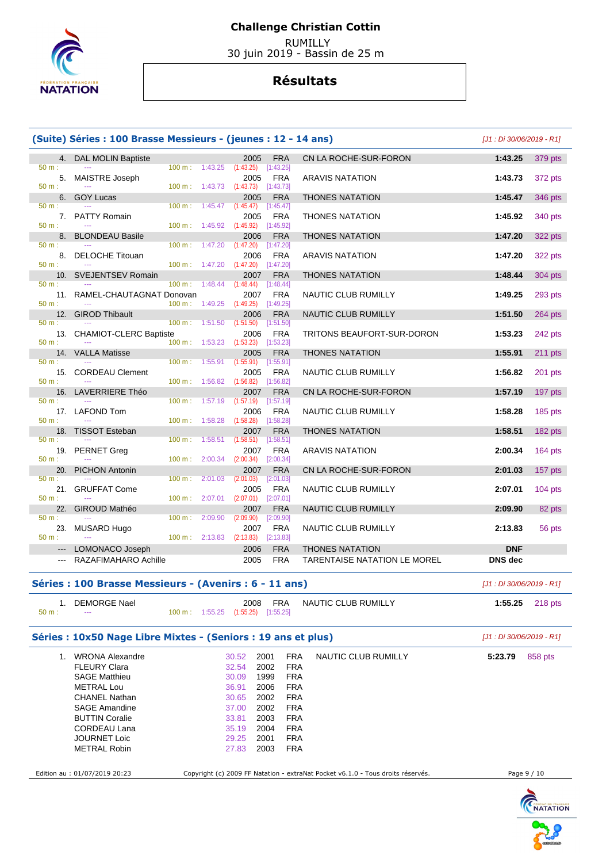

 RUMILLY 30 juin 2019 - Bassin de 25 m

# **Résultats**

|                              | (Suite) Séries : 100 Brasse Messieurs - (jeunes : 12 - 14 ans) |                          |         |                                              |                           |                                                                                 | [J1 : Di 30/06/2019 - R1] |           |
|------------------------------|----------------------------------------------------------------|--------------------------|---------|----------------------------------------------|---------------------------|---------------------------------------------------------------------------------|---------------------------|-----------|
|                              | 4. DAL MOLIN Baptiste                                          |                          |         | 2005                                         | <b>FRA</b>                | CN LA ROCHE-SUR-FORON                                                           | 1:43.25                   | 379 pts   |
| 50 m:                        | 5. MAISTRE Joseph                                              | $100 \text{ m}: 1:43.25$ |         | (1:43.25)<br>2005                            | [1:43.25]<br><b>FRA</b>   | <b>ARAVIS NATATION</b>                                                          | 1:43.73                   | 372 pts   |
| 50 m:<br>6.                  | <b>GOY Lucas</b>                                               | 100 m: 1:43.73           |         | (1:43.73)<br>2005                            | [1:43.73]<br><b>FRA</b>   | THONES NATATION                                                                 | 1:45.47                   | 346 pts   |
| 50 m:                        | 7. PATTY Romain                                                | $100 \text{ m}: 1:45.47$ |         | (1:45.47)<br>2005                            | [1:45.47]<br>FRA          | <b>THONES NATATION</b>                                                          | 1:45.92                   | 340 pts   |
| 50 m:                        |                                                                |                          |         | $100 \text{ m}: 1:45.92$ $(1:45.92)$         | [1:45.92]                 |                                                                                 |                           |           |
| 8.<br>50 m:                  | <b>BLONDEAU Basile</b>                                         |                          |         | 2006<br>$100 \text{ m}: 1:47.20 (1:47.20)$   | <b>FRA</b><br>$[1:47.20]$ | <b>THONES NATATION</b>                                                          | 1:47.20                   | 322 pts   |
| 50 m:                        | 8. DELOCHE Titouan                                             |                          |         | 2006<br>$100 \text{ m}: 1:47.20 (1:47.20)$   | <b>FRA</b><br>[1:47.20]   | <b>ARAVIS NATATION</b>                                                          | 1:47.20                   | 322 pts   |
|                              | 10. SVEJENTSEV Romain                                          |                          |         | 2007                                         | <b>FRA</b>                | <b>THONES NATATION</b>                                                          | 1:48.44                   | 304 pts   |
| 50 m:                        | 11. RAMEL-CHAUTAGNAT Donovan                                   | $100 \text{ m}: 1:48.44$ |         | (1:48.44)<br>2007                            | [1:48.44]<br><b>FRA</b>   | NAUTIC CLUB RUMILLY                                                             | 1:49.25                   | 293 pts   |
| 50 m:<br>12.                 | <b>GIROD Thibault</b>                                          | 100 m: 1:49.25           |         | (1:49.25)<br>2006                            | [1:49.25]<br><b>FRA</b>   | NAUTIC CLUB RUMILLY                                                             | 1:51.50                   | 264 pts   |
| 50 m:                        |                                                                | $100 \text{ m}: 1:51.50$ |         | (1:51.50)                                    | [1:51.50]                 |                                                                                 |                           |           |
| 50 m:                        | 13. CHAMIOT-CLERC Baptiste                                     |                          |         | 2006<br>$100 \text{ m}: 1:53.23$ $(1:53.23)$ | <b>FRA</b><br>[1:53.23]   | TRITONS BEAUFORT-SUR-DORON                                                      | 1:53.23                   | 242 pts   |
| 14.<br>50 m:                 | <b>VALLA Matisse</b>                                           | $100 \text{ m}$ :        | 1:55.91 | 2005<br>(1:55.91)                            | <b>FRA</b><br>[1:55.91]   | <b>THONES NATATION</b>                                                          | 1:55.91                   | 211 pts   |
|                              | 15. CORDEAU Clement                                            |                          |         | 2005                                         | <b>FRA</b>                | NAUTIC CLUB RUMILLY                                                             | 1:56.82                   | 201 pts   |
| 50 m:                        | 16. LAVERRIERE Théo                                            | 100 m: 1:56.82           |         | (1:56.82)<br>2007                            | [1:56.82]<br><b>FRA</b>   | CN LA ROCHE-SUR-FORON                                                           | 1:57.19                   | 197 pts   |
| 50 m:                        | 17. LAFOND Tom                                                 | $100 \text{ m}: 1:57.19$ |         | (1:57.19)                                    | [1:57.19]<br><b>FRA</b>   |                                                                                 | 1:58.28                   |           |
| 50 m:                        |                                                                | 100 m: 1:58.28           |         | 2006<br>(1:58.28)                            | [1:58.28]                 | NAUTIC CLUB RUMILLY                                                             |                           | 185 pts   |
| 18.<br>50 m:                 | <b>TISSOT Esteban</b>                                          | $100 \text{ m}$ :        | 1:58.51 | 2007<br>(1:58.51)                            | <b>FRA</b><br>[1:58.51]   | THONES NATATION                                                                 | 1:58.51                   | 182 pts   |
| 19.<br>50 m:                 | PERNET Greg                                                    | 100 m:                   | 2:00.34 | 2007<br>(2:00.34)                            | <b>FRA</b>                | <b>ARAVIS NATATION</b>                                                          | 2:00.34                   | 164 $pts$ |
| 20.                          | <b>PICHON Antonin</b>                                          |                          |         | 2007                                         | [2:00.34]<br><b>FRA</b>   | CN LA ROCHE-SUR-FORON                                                           | 2:01.03                   | 157 pts   |
| 50 m:                        | 21. GRUFFAT Come                                               | $100 \text{ m}$ :        | 2:01.03 | (2:01.03)<br>2005                            | [2:01.03]<br><b>FRA</b>   | NAUTIC CLUB RUMILLY                                                             | 2:07.01                   | $104$ pts |
| 50 m:                        |                                                                | $100 \text{ m}$ :        | 2:07.01 | (2:07.01)                                    | [2:07.01]                 |                                                                                 |                           |           |
| 22.<br>50 m:                 | GIROUD Mathéo                                                  | $100 \text{ m}$ :        | 2:09.90 | 2007<br>(2:09.90)                            | <b>FRA</b><br>[2:09.90]   | NAUTIC CLUB RUMILLY                                                             | 2:09.90                   | 82 pts    |
| 23.<br>50 m:                 | MUSARD Hugo                                                    | $100 \text{ m}: 2:13.83$ |         | 2007<br>(2:13.83)                            | <b>FRA</b><br>[2:13.83]   | NAUTIC CLUB RUMILLY                                                             | 2:13.83                   | 56 pts    |
| $\qquad \qquad \textbf{---}$ | LOMONACO Joseph                                                |                          |         | 2006                                         | <b>FRA</b>                | <b>THONES NATATION</b>                                                          | <b>DNF</b>                |           |
| $\qquad \qquad \cdots$       | RAZAFIMAHARO Achille                                           |                          |         | 2005                                         | <b>FRA</b>                | TARENTAISE NATATION LE MOREL                                                    | <b>DNS</b> dec            |           |
|                              | Séries : 100 Brasse Messieurs - (Avenirs : 6 - 11 ans)         |                          |         |                                              |                           |                                                                                 | [J1 : Di 30/06/2019 - R1] |           |
| 1.<br>50 m:                  | <b>DEMORGE Nael</b>                                            | $100 \text{ m}$ :        | 1:55.25 | 2008<br>$(1:55.25)$ $[1:55.25]$              | <b>FRA</b>                | NAUTIC CLUB RUMILLY                                                             | 1:55.25                   | 218 pts   |
|                              |                                                                |                          |         |                                              |                           |                                                                                 |                           |           |
|                              | Séries : 10x50 Nage Libre Mixtes - (Seniors : 19 ans et plus)  |                          |         |                                              |                           |                                                                                 | [J1 : Di 30/06/2019 - R1] |           |
|                              | 1. WRONA Alexandre<br><b>FLEURY Clara</b>                      |                          |         | 30.52<br>2001<br>2002                        |                           | <b>NAUTIC CLUB RUMILLY</b><br><b>FRA</b><br><b>FRA</b>                          | 5:23.79                   | 858 pts   |
|                              | <b>SAGE Matthieu</b>                                           |                          |         | 32.54<br>30.09                               | 1999                      | FRA                                                                             |                           |           |
|                              | <b>METRAL Lou</b>                                              |                          |         | 36.91                                        | 2006                      | <b>FRA</b>                                                                      |                           |           |
|                              | <b>CHANEL Nathan</b>                                           |                          |         | 30.65                                        | 2002                      | <b>FRA</b>                                                                      |                           |           |
|                              | <b>SAGE Amandine</b>                                           |                          |         | 37.00                                        | 2002                      | <b>FRA</b>                                                                      |                           |           |
|                              | <b>BUTTIN Coralie</b><br>CORDEAU Lana                          |                          |         | 33.81<br>35.19                               | 2003<br>2004              | <b>FRA</b><br><b>FRA</b>                                                        |                           |           |
|                              | <b>JOURNET Loic</b>                                            |                          |         | 29.25                                        | 2001                      | <b>FRA</b>                                                                      |                           |           |
|                              | <b>METRAL Robin</b>                                            |                          |         | 27.83                                        | 2003                      | <b>FRA</b>                                                                      |                           |           |
|                              |                                                                |                          |         |                                              |                           |                                                                                 |                           |           |
|                              | Edition au : 01/07/2019 20:23                                  |                          |         |                                              |                           | Copyright (c) 2009 FF Natation - extraNat Pocket v6.1.0 - Tous droits réservés. | Page 9 / 10               |           |